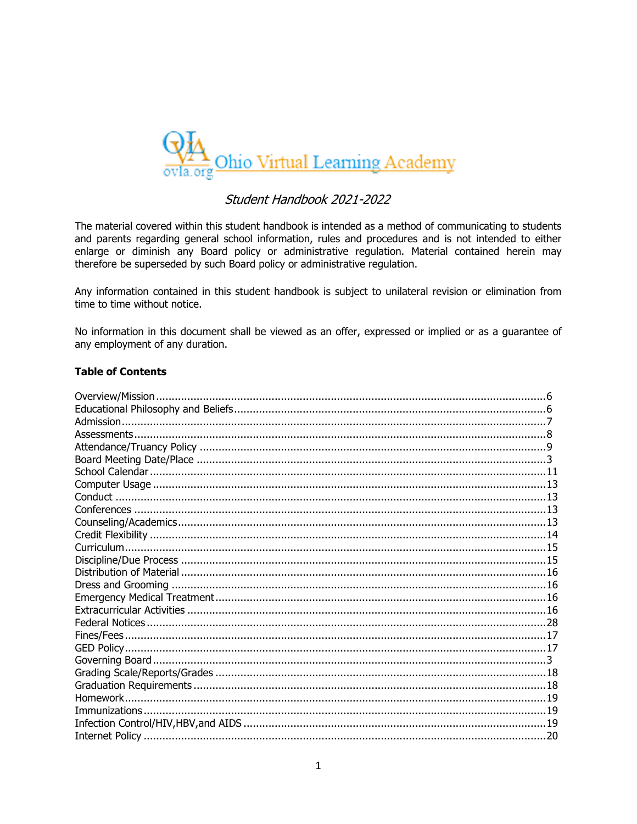

# Student Handbook 2021-2022

The material covered within this student handbook is intended as a method of communicating to students and parents regarding general school information, rules and procedures and is not intended to either enlarge or diminish any Board policy or administrative regulation. Material contained herein may therefore be superseded by such Board policy or administrative regulation.

Any information contained in this student handbook is subject to unilateral revision or elimination from time to time without notice.

No information in this document shall be viewed as an offer, expressed or implied or as a guarantee of any employment of any duration.

### **Table of Contents**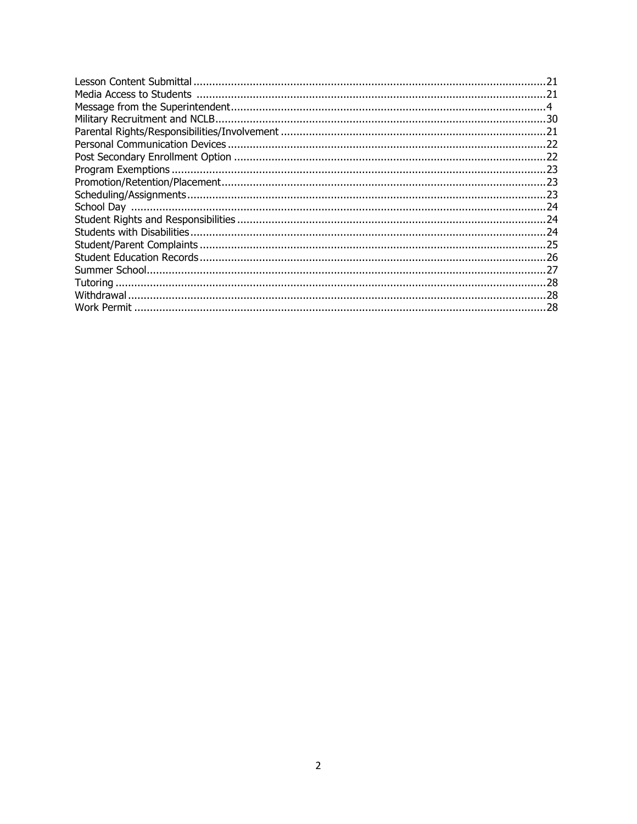| .23 |
|-----|
| -23 |
| .23 |
| .24 |
|     |
|     |
| 25  |
|     |
|     |
|     |
|     |
| 28  |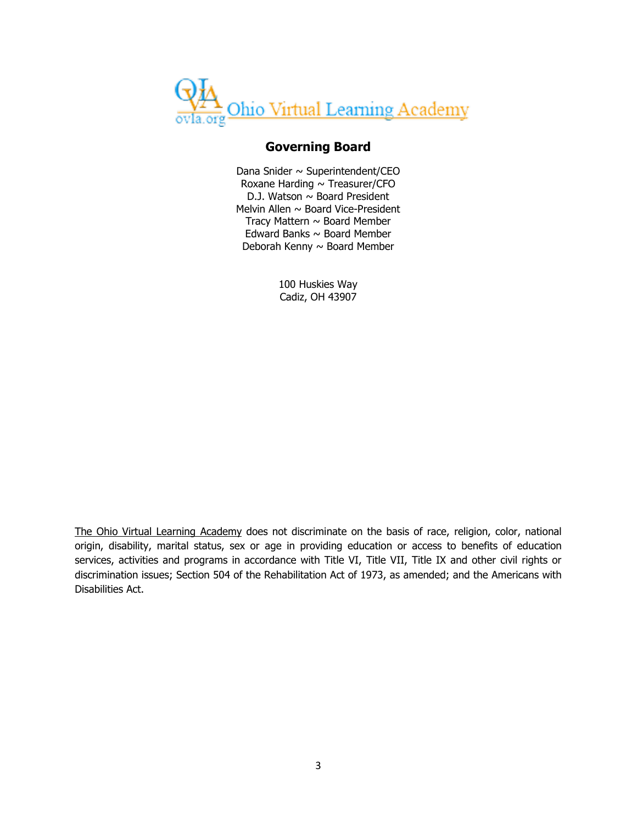

# **Governing Board**

Dana Snider  $\sim$  Superintendent/CEO Roxane Harding  $\sim$  Treasurer/CFO D.J. Watson  $\sim$  Board President Melvin Allen  $\sim$  Board Vice-President Tracy Mattern  $\sim$  Board Member Edward Banks  $\sim$  Board Member Deborah Kenny  $\sim$  Board Member

> 100 Huskies Way Cadiz, OH 43907

The Ohio Virtual Learning Academy does not discriminate on the basis of race, religion, color, national origin, disability, marital status, sex or age in providing education or access to benefits of education services, activities and programs in accordance with Title VI, Title VII, Title IX and other civil rights or discrimination issues; Section 504 of the Rehabilitation Act of 1973, as amended; and the Americans with Disabilities Act.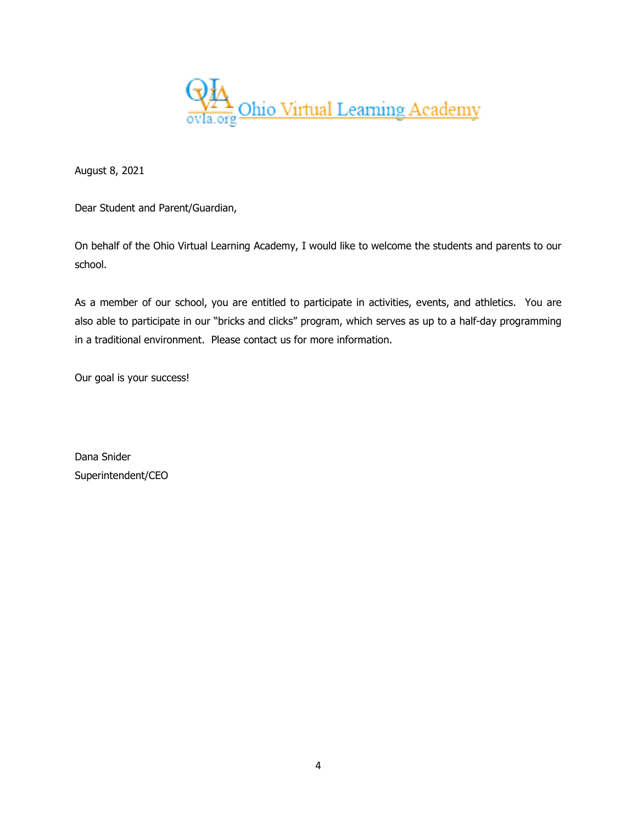

August 8, 2021

Dear Student and Parent/Guardian,

On behalf of the Ohio Virtual Learning Academy, I would like to welcome the students and parents to our school.

As a member of our school, you are entitled to participate in activities, events, and athletics. You are also able to participate in our "bricks and clicks" program, which serves as up to a half-day programming in a traditional environment. Please contact us for more information.

Our goal is your success!

Dana Snider Superintendent/CEO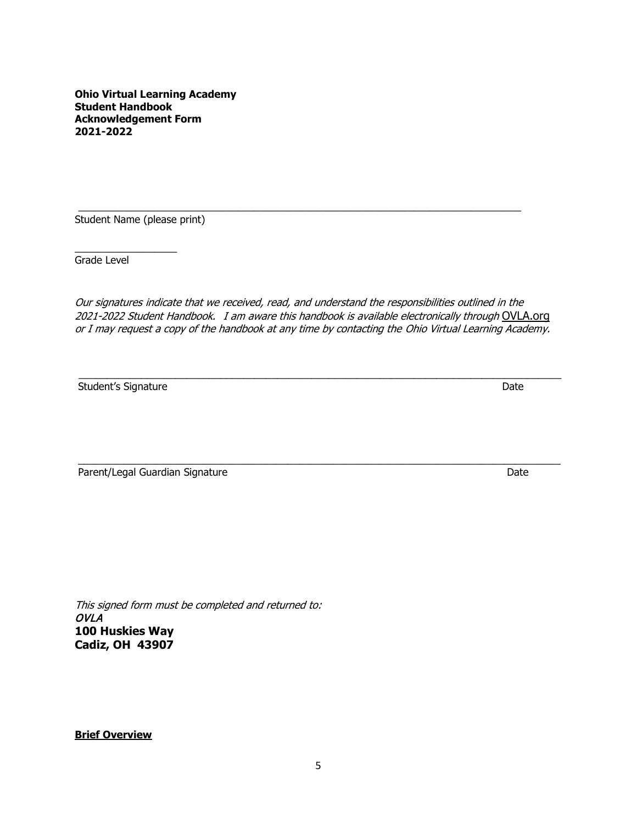**Ohio Virtual Learning Academy Student Handbook Acknowledgement Form 2021-2022**

\_\_\_\_\_\_\_\_\_\_\_\_\_\_\_\_\_\_\_\_\_\_\_\_\_\_\_\_\_\_\_\_\_\_\_\_\_\_\_\_\_\_\_\_\_\_\_\_\_\_\_\_\_\_\_\_\_\_\_\_\_\_\_\_\_\_\_\_\_\_\_\_\_\_\_\_\_\_ Student Name (please print)

\_\_\_\_\_\_\_\_\_\_\_\_\_\_\_\_\_\_ Grade Level

Our signatures indicate that we received, read, and understand the responsibilities outlined in the 2021-2022 Student Handbook. I am aware this handbook is available electronically through OVLA.org or I may request a copy of the handbook at any time by contacting the Ohio Virtual Learning Academy.

 $\_$  , and the set of the set of the set of the set of the set of the set of the set of the set of the set of the set of the set of the set of the set of the set of the set of the set of the set of the set of the set of th Student's Signature Date Date of the United Students's Signature Date Date

\_\_\_\_\_\_\_\_\_\_\_\_\_\_\_\_\_\_\_\_\_\_\_\_\_\_\_\_\_\_\_\_\_\_\_\_\_\_\_\_\_\_\_\_\_\_\_\_\_\_\_\_\_\_\_\_\_\_\_\_\_\_\_\_\_\_\_\_\_\_\_\_\_\_\_\_\_\_\_\_\_\_\_\_\_ Parent/Legal Guardian Signature Date Date Date Date

This signed form must be completed and returned to: OVLA **100 Huskies Way Cadiz, OH 43907**

**Brief Overview**

5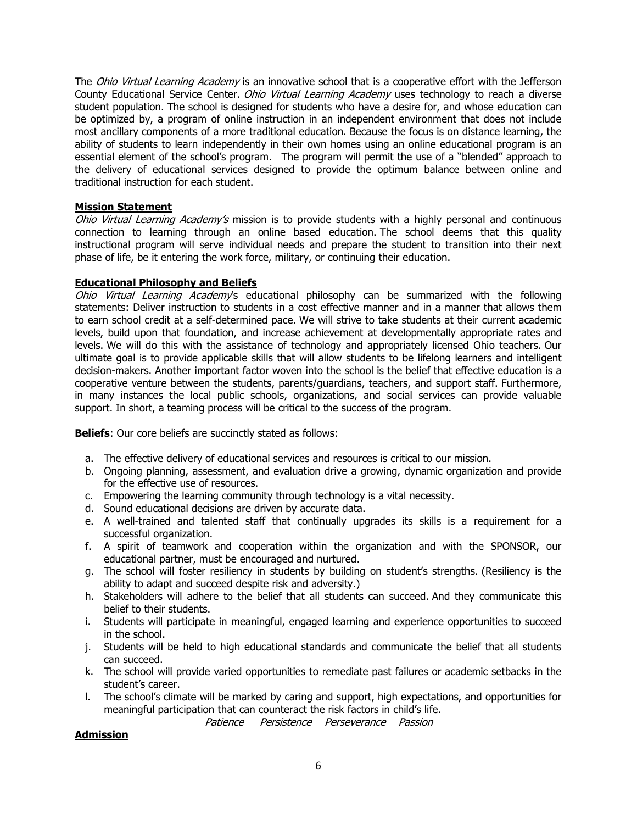The *Ohio Virtual Learning Academy* is an innovative school that is a cooperative effort with the Jefferson County Educational Service Center. *Ohio Virtual Learning Academy* uses technology to reach a diverse student population. The school is designed for students who have a desire for, and whose education can be optimized by, a program of online instruction in an independent environment that does not include most ancillary components of a more traditional education. Because the focus is on distance learning, the ability of students to learn independently in their own homes using an online educational program is an essential element of the school's program. The program will permit the use of a "blended" approach to the delivery of educational services designed to provide the optimum balance between online and traditional instruction for each student.

# **Mission Statement**

Ohio Virtual Learning Academy's mission is to provide students with a highly personal and continuous connection to learning through an online based education. The school deems that this quality instructional program will serve individual needs and prepare the student to transition into their next phase of life, be it entering the work force, military, or continuing their education.

### **Educational Philosophy and Beliefs**

Ohio Virtual Learning Academy's educational philosophy can be summarized with the following statements: Deliver instruction to students in a cost effective manner and in a manner that allows them to earn school credit at a self-determined pace. We will strive to take students at their current academic levels, build upon that foundation, and increase achievement at developmentally appropriate rates and levels. We will do this with the assistance of technology and appropriately licensed Ohio teachers. Our ultimate goal is to provide applicable skills that will allow students to be lifelong learners and intelligent decision-makers. Another important factor woven into the school is the belief that effective education is a cooperative venture between the students, parents/guardians, teachers, and support staff. Furthermore, in many instances the local public schools, organizations, and social services can provide valuable support. In short, a teaming process will be critical to the success of the program.

**Beliefs:** Our core beliefs are succinctly stated as follows:

- a. The effective delivery of educational services and resources is critical to our mission.
- b. Ongoing planning, assessment, and evaluation drive a growing, dynamic organization and provide for the effective use of resources.
- c. Empowering the learning community through technology is a vital necessity.
- d. Sound educational decisions are driven by accurate data.
- e. A well-trained and talented staff that continually upgrades its skills is a requirement for a successful organization.
- f. A spirit of teamwork and cooperation within the organization and with the SPONSOR, our educational partner, must be encouraged and nurtured.
- g. The school will foster resiliency in students by building on student's strengths. (Resiliency is the ability to adapt and succeed despite risk and adversity.)
- h. Stakeholders will adhere to the belief that all students can succeed. And they communicate this belief to their students.
- i. Students will participate in meaningful, engaged learning and experience opportunities to succeed in the school.
- j. Students will be held to high educational standards and communicate the belief that all students can succeed.
- k. The school will provide varied opportunities to remediate past failures or academic setbacks in the student's career.
- l. The school's climate will be marked by caring and support, high expectations, and opportunities for meaningful participation that can counteract the risk factors in child's life.

Patience Persistence Perseverance Passion

#### **Admission**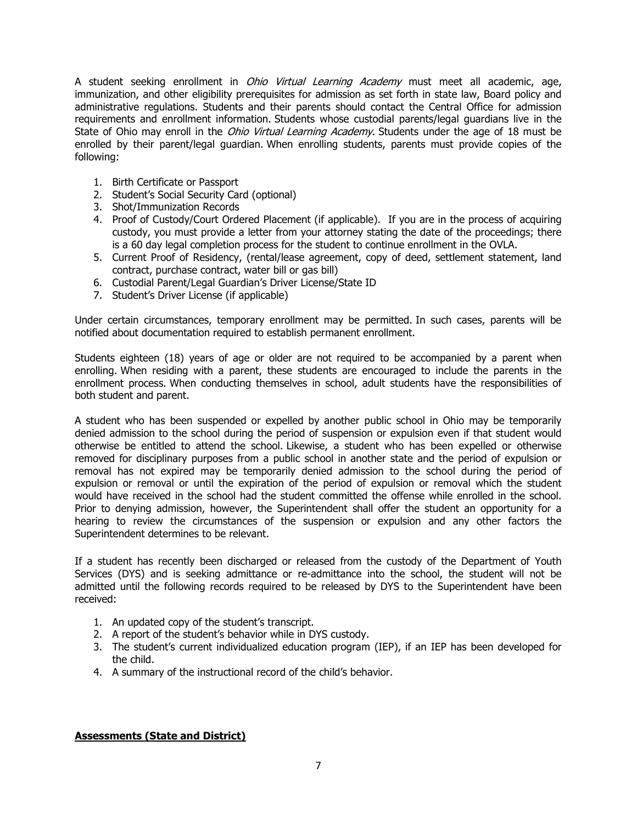A student seeking enrollment in *Ohio Virtual Learning Academy* must meet all academic, age, immunization, and other eligibility prerequisites for admission as set forth in state law, Board policy and administrative regulations. Students and their parents should contact the Central Office for admission requirements and enrollment information. Students whose custodial parents/legal guardians live in the State of Ohio may enroll in the *Ohio Virtual Learning Academy*. Students under the age of 18 must be enrolled by their parent/legal guardian. When enrolling students, parents must provide copies of the following:

- 1. Birth Certificate or Passport
- 2. Student's Social Security Card (optional)
- 3. Shot/Immunization Records
- 4. Proof of Custody/Court Ordered Placement (if applicable). If you are in the process of acquiring custody, you must provide a letter from your attorney stating the date of the proceedings; there is a 60 day legal completion process for the student to continue enrollment in the OVLA.
- 5. Current Proof of Residency, (rental/lease agreement, copy of deed, settlement statement, land contract, purchase contract, water bill or gas bill)
- 6. Custodial Parent/Legal Guardian's Driver License/State ID
- 7. Student's Driver License (if applicable)

Under certain circumstances, temporary enrollment may be permitted. In such cases, parents will be notified about documentation required to establish permanent enrollment.

Students eighteen (18) years of age or older are not required to be accompanied by a parent when enrolling. When residing with a parent, these students are encouraged to include the parents in the enrollment process. When conducting themselves in school, adult students have the responsibilities of both student and parent.

A student who has been suspended or expelled by another public school in Ohio may be temporarily denied admission to the school during the period of suspension or expulsion even if that student would otherwise be entitled to attend the school. Likewise, a student who has been expelled or otherwise removed for disciplinary purposes from a public school in another state and the period of expulsion or removal has not expired may be temporarily denied admission to the school during the period of expulsion or removal or until the expiration of the period of expulsion or removal which the student would have received in the school had the student committed the offense while enrolled in the school. Prior to denying admission, however, the Superintendent shall offer the student an opportunity for a hearing to review the circumstances of the suspension or expulsion and any other factors the Superintendent determines to be relevant.

If a student has recently been discharged or released from the custody of the Department of Youth Services (DYS) and is seeking admittance or re-admittance into the school, the student will not be admitted until the following records required to be released by DYS to the Superintendent have been received:

- 1. An updated copy of the student's transcript.
- 2. A report of the student's behavior while in DYS custody.
- 3. The student's current individualized education program (IEP), if an IEP has been developed for the child.
- 4. A summary of the instructional record of the child's behavior.

# **Assessments (State and District)**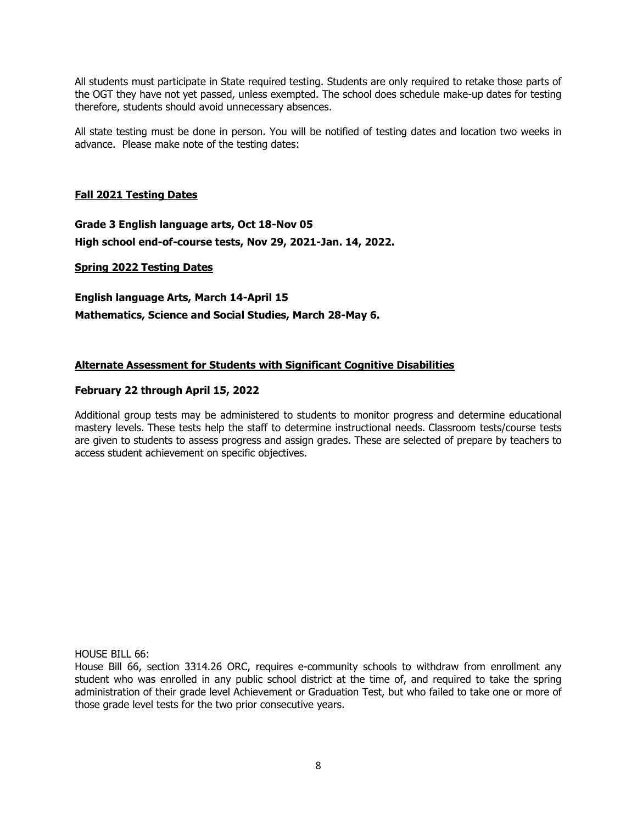All students must participate in State required testing. Students are only required to retake those parts of the OGT they have not yet passed, unless exempted. The school does schedule make-up dates for testing therefore, students should avoid unnecessary absences.

All state testing must be done in person. You will be notified of testing dates and location two weeks in advance. Please make note of the testing dates:

# **Fall 2021 Testing Dates**

**Grade 3 English language arts, Oct 18-Nov 05 High school end-of-course tests, Nov 29, 2021-Jan. 14, 2022.**

### **Spring 2022 Testing Dates**

**English language Arts, March 14-April 15 Mathematics, Science and Social Studies, March 28-May 6.**

# **Alternate Assessment for Students with Significant Cognitive Disabilities**

### **February 22 through April 15, 2022**

Additional group tests may be administered to students to monitor progress and determine educational mastery levels. These tests help the staff to determine instructional needs. Classroom tests/course tests are given to students to assess progress and assign grades. These are selected of prepare by teachers to access student achievement on specific objectives.

HOUSE BILL 66:

House Bill 66, section 3314.26 ORC, requires e-community schools to withdraw from enrollment any student who was enrolled in any public school district at the time of, and required to take the spring administration of their grade level Achievement or Graduation Test, but who failed to take one or more of those grade level tests for the two prior consecutive years.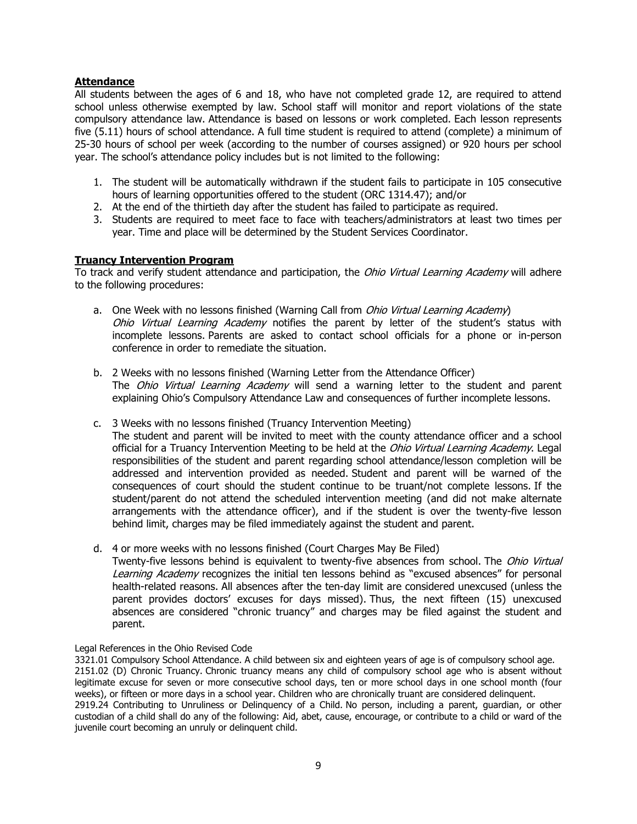# **Attendance**

All students between the ages of 6 and 18, who have not completed grade 12, are required to attend school unless otherwise exempted by law. School staff will monitor and report violations of the state compulsory attendance law. Attendance is based on lessons or work completed. Each lesson represents five (5.11) hours of school attendance. A full time student is required to attend (complete) a minimum of 25-30 hours of school per week (according to the number of courses assigned) or 920 hours per school year. The school's attendance policy includes but is not limited to the following:

- 1. The student will be automatically withdrawn if the student fails to participate in 105 consecutive hours of learning opportunities offered to the student (ORC 1314.47); and/or
- 2. At the end of the thirtieth day after the student has failed to participate as required.
- 3. Students are required to meet face to face with teachers/administrators at least two times per year. Time and place will be determined by the Student Services Coordinator.

### **Truancy Intervention Program**

To track and verify student attendance and participation, the *Ohio Virtual Learning Academy* will adhere to the following procedures:

- a. One Week with no lessons finished (Warning Call from *Ohio Virtual Learning Academy*) Ohio Virtual Learning Academy notifies the parent by letter of the student's status with incomplete lessons. Parents are asked to contact school officials for a phone or in-person conference in order to remediate the situation.
- b. 2 Weeks with no lessons finished (Warning Letter from the Attendance Officer) The Ohio Virtual Learning Academy will send a warning letter to the student and parent explaining Ohio's Compulsory Attendance Law and consequences of further incomplete lessons.
- c. 3 Weeks with no lessons finished (Truancy Intervention Meeting)

The student and parent will be invited to meet with the county attendance officer and a school official for a Truancy Intervention Meeting to be held at the *Ohio Virtual Learning Academy*. Legal responsibilities of the student and parent regarding school attendance/lesson completion will be addressed and intervention provided as needed. Student and parent will be warned of the consequences of court should the student continue to be truant/not complete lessons. If the student/parent do not attend the scheduled intervention meeting (and did not make alternate arrangements with the attendance officer), and if the student is over the twenty-five lesson behind limit, charges may be filed immediately against the student and parent.

d. 4 or more weeks with no lessons finished (Court Charges May Be Filed)

Twenty-five lessons behind is equivalent to twenty-five absences from school. The Ohio Virtual Learning Academy recognizes the initial ten lessons behind as "excused absences" for personal health-related reasons. All absences after the ten-day limit are considered unexcused (unless the parent provides doctors' excuses for days missed). Thus, the next fifteen (15) unexcused absences are considered "chronic truancy" and charges may be filed against the student and parent.

Legal References in the Ohio Revised Code

3321.01 Compulsory School Attendance. A child between six and eighteen years of age is of compulsory school age. 2151.02 (D) Chronic Truancy. Chronic truancy means any child of compulsory school age who is absent without legitimate excuse for seven or more consecutive school days, ten or more school days in one school month (four weeks), or fifteen or more days in a school year. Children who are chronically truant are considered delinquent. 2919.24 Contributing to Unruliness or Delinquency of a Child. No person, including a parent, guardian, or other custodian of a child shall do any of the following: Aid, abet, cause, encourage, or contribute to a child or ward of the juvenile court becoming an unruly or delinquent child.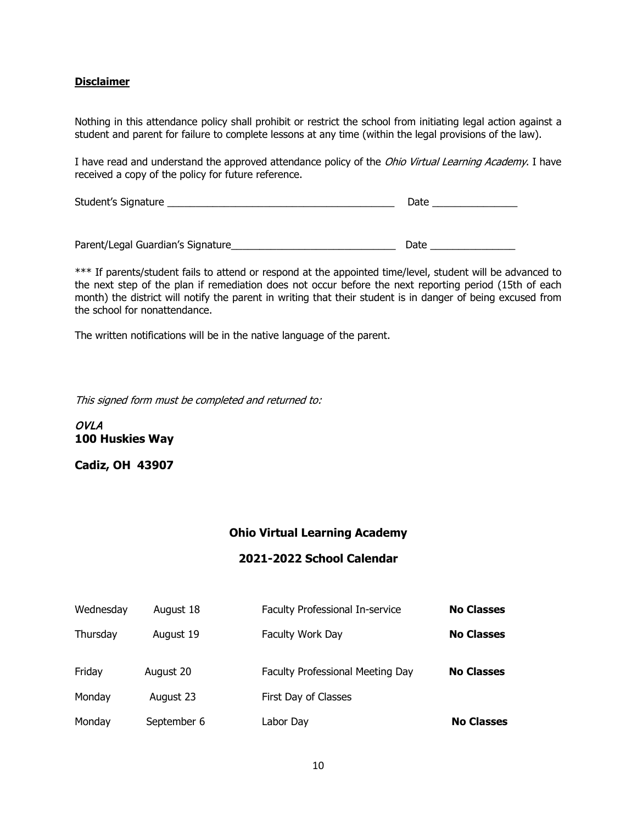# **Disclaimer**

Nothing in this attendance policy shall prohibit or restrict the school from initiating legal action against a student and parent for failure to complete lessons at any time (within the legal provisions of the law).

I have read and understand the approved attendance policy of the *Ohio Virtual Learning Academy*. I have received a copy of the policy for future reference.

Student's Signature \_\_\_\_\_\_\_\_\_\_\_\_\_\_\_\_\_\_\_\_\_\_\_\_\_\_\_\_\_\_\_\_\_\_\_\_\_\_\_\_ Date \_\_\_\_\_\_\_\_\_\_\_\_\_\_\_

Parent/Legal Guardian's Signature\_\_\_\_\_\_\_\_\_\_\_\_\_\_\_\_\_\_\_\_\_\_\_\_\_\_\_\_\_ Date \_\_\_\_\_\_\_\_\_\_\_\_\_\_\_

\*\*\* If parents/student fails to attend or respond at the appointed time/level, student will be advanced to the next step of the plan if remediation does not occur before the next reporting period (15th of each month) the district will notify the parent in writing that their student is in danger of being excused from the school for nonattendance.

The written notifications will be in the native language of the parent.

This signed form must be completed and returned to:

OVLA **100 Huskies Way**

**Cadiz, OH 43907**

# **Ohio Virtual Learning Academy**

#### **2021-2022 School Calendar**

| Wednesday | August 18   | Faculty Professional In-service  | <b>No Classes</b> |
|-----------|-------------|----------------------------------|-------------------|
| Thursday  | August 19   | Faculty Work Day                 | <b>No Classes</b> |
| Friday    | August 20   | Faculty Professional Meeting Day | <b>No Classes</b> |
| Monday    | August 23   | First Day of Classes             |                   |
| Monday    | September 6 | Labor Day                        | <b>No Classes</b> |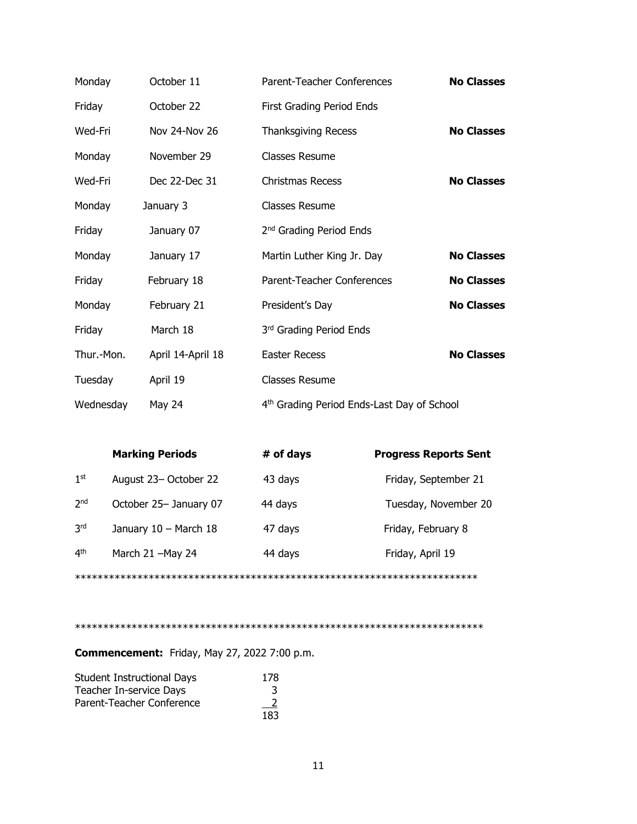| Monday     | October 11        | Parent-Teacher Conferences                 | <b>No Classes</b> |
|------------|-------------------|--------------------------------------------|-------------------|
| Friday     | October 22        | First Grading Period Ends                  |                   |
| Wed-Fri    | Nov 24-Nov 26     | <b>Thanksgiving Recess</b>                 | <b>No Classes</b> |
| Monday     | November 29       | Classes Resume                             |                   |
| Wed-Fri    | Dec 22-Dec 31     | <b>Christmas Recess</b>                    | <b>No Classes</b> |
| Monday     | January 3         | Classes Resume                             |                   |
| Friday     | January 07        | 2 <sup>nd</sup> Grading Period Ends        |                   |
| Monday     | January 17        | Martin Luther King Jr. Day                 | <b>No Classes</b> |
| Friday     | February 18       | Parent-Teacher Conferences                 | <b>No Classes</b> |
| Monday     | February 21       | President's Day                            | <b>No Classes</b> |
| Friday     | March 18          | 3rd Grading Period Ends                    |                   |
| Thur.-Mon. | April 14-April 18 | <b>Easter Recess</b>                       | <b>No Classes</b> |
| Tuesday    | April 19          | Classes Resume                             |                   |
| Wednesday  | May 24            | 4th Grading Period Ends-Last Day of School |                   |

|                 | <b>Marking Periods</b> | # of days | <b>Progress Reports Sent</b> |
|-----------------|------------------------|-----------|------------------------------|
| 1 <sup>st</sup> | August 23- October 22  | 43 days   | Friday, September 21         |
| 2 <sub>nd</sub> | October 25- January 07 | 44 days   | Tuesday, November 20         |
| 3 <sup>rd</sup> | January 10 - March 18  | 47 days   | Friday, February 8           |
| 4 <sup>th</sup> | March 21 -May 24       | 44 days   | Friday, April 19             |
|                 |                        |           |                              |

\*\*\*\*\*\*\*\*\*\*\*\*\*\*\*\*\*\*\*\*\*\*\*\*\*\*\*\*\*\*\*\*\*\*\*\*\*\*\*\*\*\*\*\*\*\*\*\*\*\*\*\*\*\*\*\*\*\*\*\*\*\*\*\*\*\*\*\*\*\*\*\*

**Commencement:** Friday, May 27, 2022 7:00 p.m.

| <b>Student Instructional Days</b> | 178           |
|-----------------------------------|---------------|
| Teacher In-service Days           | 3             |
| Parent-Teacher Conference         | $\frac{2}{2}$ |
|                                   | 183           |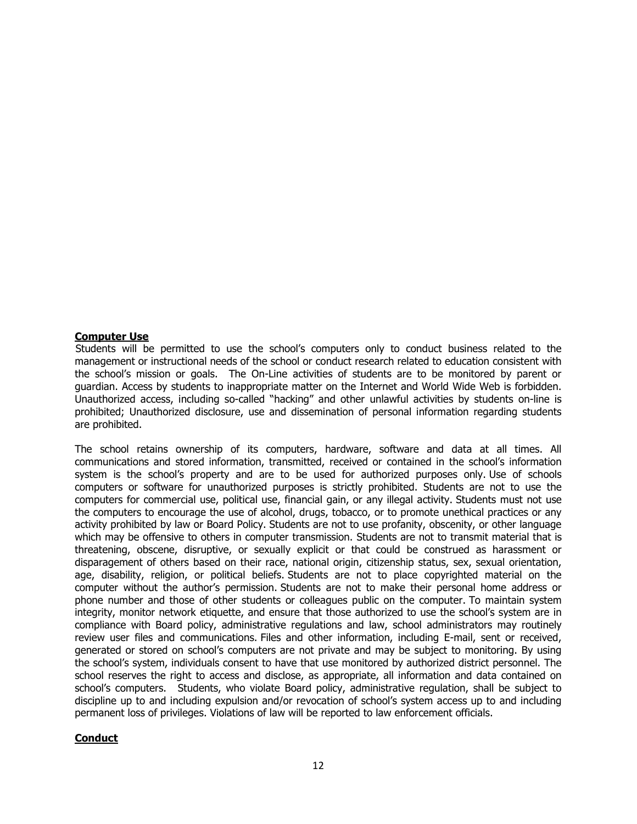#### **Computer Use**

 Students will be permitted to use the school's computers only to conduct business related to the management or instructional needs of the school or conduct research related to education consistent with the school's mission or goals. The On-Line activities of students are to be monitored by parent or guardian. Access by students to inappropriate matter on the Internet and World Wide Web is forbidden. Unauthorized access, including so-called "hacking" and other unlawful activities by students on-line is prohibited; Unauthorized disclosure, use and dissemination of personal information regarding students are prohibited.

The school retains ownership of its computers, hardware, software and data at all times. All communications and stored information, transmitted, received or contained in the school's information system is the school's property and are to be used for authorized purposes only. Use of schools computers or software for unauthorized purposes is strictly prohibited. Students are not to use the computers for commercial use, political use, financial gain, or any illegal activity. Students must not use the computers to encourage the use of alcohol, drugs, tobacco, or to promote unethical practices or any activity prohibited by law or Board Policy. Students are not to use profanity, obscenity, or other language which may be offensive to others in computer transmission. Students are not to transmit material that is threatening, obscene, disruptive, or sexually explicit or that could be construed as harassment or disparagement of others based on their race, national origin, citizenship status, sex, sexual orientation, age, disability, religion, or political beliefs. Students are not to place copyrighted material on the computer without the author's permission. Students are not to make their personal home address or phone number and those of other students or colleagues public on the computer. To maintain system integrity, monitor network etiquette, and ensure that those authorized to use the school's system are in compliance with Board policy, administrative regulations and law, school administrators may routinely review user files and communications. Files and other information, including E-mail, sent or received, generated or stored on school's computers are not private and may be subject to monitoring. By using the school's system, individuals consent to have that use monitored by authorized district personnel. The school reserves the right to access and disclose, as appropriate, all information and data contained on school's computers. Students, who violate Board policy, administrative regulation, shall be subject to discipline up to and including expulsion and/or revocation of school's system access up to and including permanent loss of privileges. Violations of law will be reported to law enforcement officials.

# **Conduct**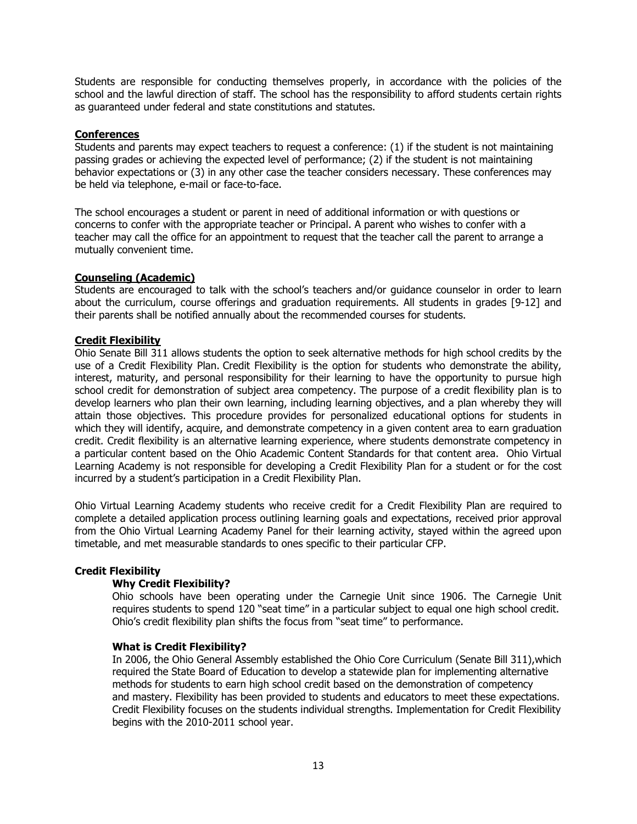Students are responsible for conducting themselves properly, in accordance with the policies of the school and the lawful direction of staff. The school has the responsibility to afford students certain rights as guaranteed under federal and state constitutions and statutes.

# **Conferences**

Students and parents may expect teachers to request a conference: (1) if the student is not maintaining passing grades or achieving the expected level of performance; (2) if the student is not maintaining behavior expectations or (3) in any other case the teacher considers necessary. These conferences may be held via telephone, e-mail or face-to-face.

The school encourages a student or parent in need of additional information or with questions or concerns to confer with the appropriate teacher or Principal. A parent who wishes to confer with a teacher may call the office for an appointment to request that the teacher call the parent to arrange a mutually convenient time.

### **Counseling (Academic)**

Students are encouraged to talk with the school's teachers and/or guidance counselor in order to learn about the curriculum, course offerings and graduation requirements. All students in grades [9-12] and their parents shall be notified annually about the recommended courses for students.

### **Credit Flexibility**

Ohio Senate Bill 311 allows students the option to seek alternative methods for high school credits by the use of a Credit Flexibility Plan. Credit Flexibility is the option for students who demonstrate the ability, interest, maturity, and personal responsibility for their learning to have the opportunity to pursue high school credit for demonstration of subject area competency. The purpose of a credit flexibility plan is to develop learners who plan their own learning, including learning objectives, and a plan whereby they will attain those objectives. This procedure provides for personalized educational options for students in which they will identify, acquire, and demonstrate competency in a given content area to earn graduation credit. Credit flexibility is an alternative learning experience, where students demonstrate competency in a particular content based on the Ohio Academic Content Standards for that content area. Ohio Virtual Learning Academy is not responsible for developing a Credit Flexibility Plan for a student or for the cost incurred by a student's participation in a Credit Flexibility Plan.

Ohio Virtual Learning Academy students who receive credit for a Credit Flexibility Plan are required to complete a detailed application process outlining learning goals and expectations, received prior approval from the Ohio Virtual Learning Academy Panel for their learning activity, stayed within the agreed upon timetable, and met measurable standards to ones specific to their particular CFP.

# **Credit Flexibility**

#### **Why Credit Flexibility?**

Ohio schools have been operating under the Carnegie Unit since 1906. The Carnegie Unit requires students to spend 120 "seat time" in a particular subject to equal one high school credit. Ohio's credit flexibility plan shifts the focus from "seat time" to performance.

#### **What is Credit Flexibility?**

In 2006, the Ohio General Assembly established the Ohio Core Curriculum (Senate Bill 311),which required the State Board of Education to develop a statewide plan for implementing alternative methods for students to earn high school credit based on the demonstration of competency and mastery. Flexibility has been provided to students and educators to meet these expectations. Credit Flexibility focuses on the students individual strengths. Implementation for Credit Flexibility begins with the 2010-2011 school year.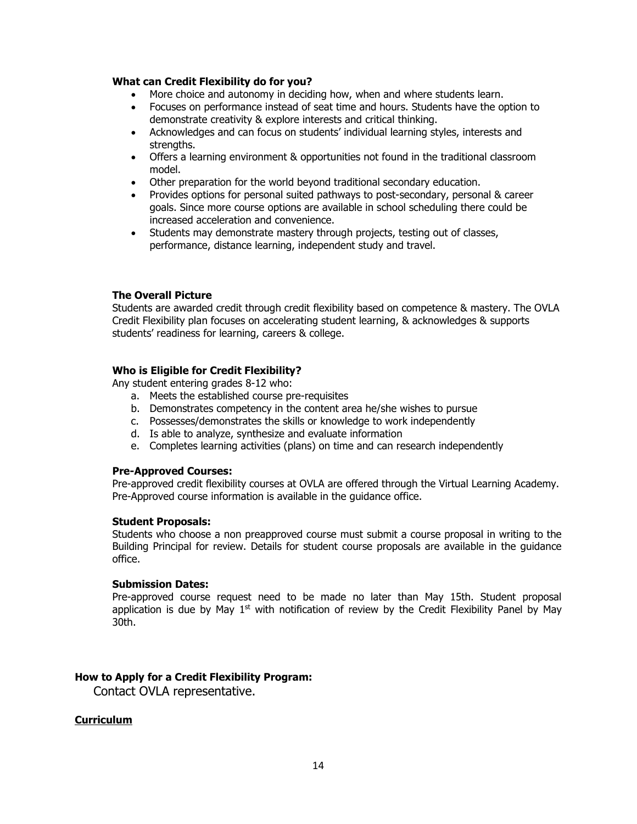#### **What can Credit Flexibility do for you?**

- More choice and autonomy in deciding how, when and where students learn.
- Focuses on performance instead of seat time and hours. Students have the option to demonstrate creativity & explore interests and critical thinking.
- Acknowledges and can focus on students' individual learning styles, interests and strengths.
- Offers a learning environment & opportunities not found in the traditional classroom model.
- Other preparation for the world beyond traditional secondary education.
- Provides options for personal suited pathways to post-secondary, personal & career goals. Since more course options are available in school scheduling there could be increased acceleration and convenience.
- Students may demonstrate mastery through projects, testing out of classes, performance, distance learning, independent study and travel.

### **The Overall Picture**

Students are awarded credit through credit flexibility based on competence & mastery. The OVLA Credit Flexibility plan focuses on accelerating student learning, & acknowledges & supports students' readiness for learning, careers & college.

### **Who is Eligible for Credit Flexibility?**

Any student entering grades 8-12 who:

- a. Meets the established course pre-requisites
- b. Demonstrates competency in the content area he/she wishes to pursue
- c. Possesses/demonstrates the skills or knowledge to work independently
- d. Is able to analyze, synthesize and evaluate information
- e. Completes learning activities (plans) on time and can research independently

#### **Pre-Approved Courses:**

Pre-approved credit flexibility courses at OVLA are offered through the Virtual Learning Academy. Pre-Approved course information is available in the guidance office.

#### **Student Proposals:**

Students who choose a non preapproved course must submit a course proposal in writing to the Building Principal for review. Details for student course proposals are available in the guidance office.

### **Submission Dates:**

Pre-approved course request need to be made no later than May 15th. Student proposal application is due by May  $1<sup>st</sup>$  with notification of review by the Credit Flexibility Panel by May 30th.

# **How to Apply for a Credit Flexibility Program:**

Contact OVLA representative.

#### **Curriculum**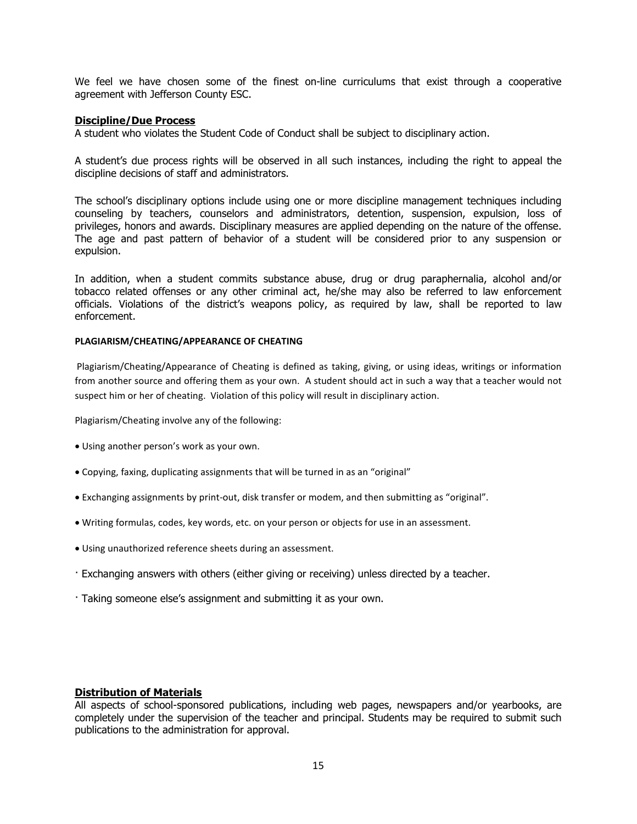We feel we have chosen some of the finest on-line curriculums that exist through a cooperative agreement with Jefferson County ESC.

#### **Discipline/Due Process**

A student who violates the Student Code of Conduct shall be subject to disciplinary action.

A student's due process rights will be observed in all such instances, including the right to appeal the discipline decisions of staff and administrators.

The school's disciplinary options include using one or more discipline management techniques including counseling by teachers, counselors and administrators, detention, suspension, expulsion, loss of privileges, honors and awards. Disciplinary measures are applied depending on the nature of the offense. The age and past pattern of behavior of a student will be considered prior to any suspension or expulsion.

In addition, when a student commits substance abuse, drug or drug paraphernalia, alcohol and/or tobacco related offenses or any other criminal act, he/she may also be referred to law enforcement officials. Violations of the district's weapons policy, as required by law, shall be reported to law enforcement.

#### **PLAGIARISM/CHEATING/APPEARANCE OF CHEATING**

Plagiarism/Cheating/Appearance of Cheating is defined as taking, giving, or using ideas, writings or information from another source and offering them as your own. A student should act in such a way that a teacher would not suspect him or her of cheating. Violation of this policy will result in disciplinary action.

Plagiarism/Cheating involve any of the following:

- Using another person's work as your own.
- Copying, faxing, duplicating assignments that will be turned in as an "original"
- Exchanging assignments by print-out, disk transfer or modem, and then submitting as "original".
- Writing formulas, codes, key words, etc. on your person or objects for use in an assessment.
- Using unauthorized reference sheets during an assessment.
- · Exchanging answers with others (either giving or receiving) unless directed by a teacher.
- · Taking someone else's assignment and submitting it as your own.

#### **Distribution of Materials**

All aspects of school-sponsored publications, including web pages, newspapers and/or yearbooks, are completely under the supervision of the teacher and principal. Students may be required to submit such publications to the administration for approval.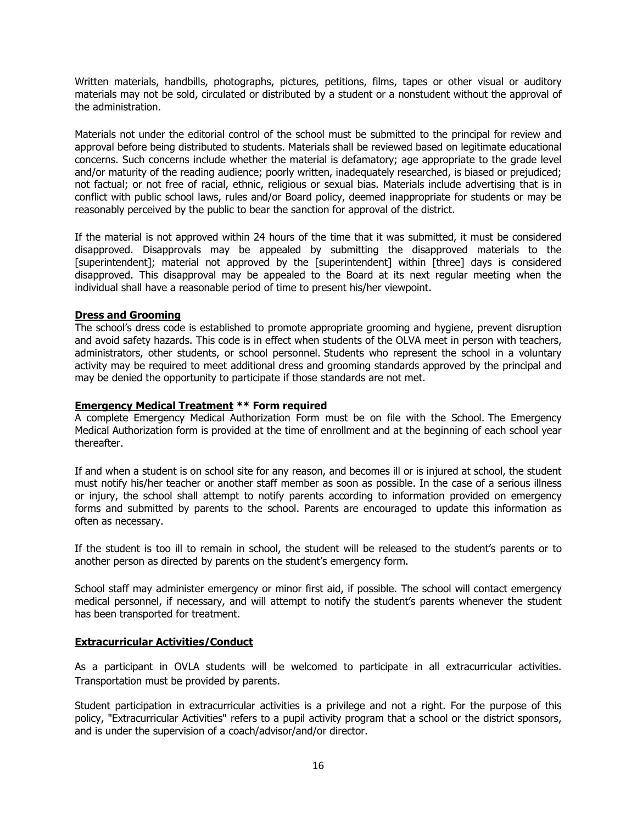Written materials, handbills, photographs, pictures, petitions, films, tapes or other visual or auditory materials may not be sold, circulated or distributed by a student or a nonstudent without the approval of the administration.

Materials not under the editorial control of the school must be submitted to the principal for review and approval before being distributed to students. Materials shall be reviewed based on legitimate educational concerns. Such concerns include whether the material is defamatory; age appropriate to the grade level and/or maturity of the reading audience; poorly written, inadequately researched, is biased or prejudiced; not factual; or not free of racial, ethnic, religious or sexual bias. Materials include advertising that is in conflict with public school laws, rules and/or Board policy, deemed inappropriate for students or may be reasonably perceived by the public to bear the sanction for approval of the district.

If the material is not approved within 24 hours of the time that it was submitted, it must be considered disapproved. Disapprovals may be appealed by submitting the disapproved materials to the [superintendent]; material not approved by the [superintendent] within [three] days is considered disapproved. This disapproval may be appealed to the Board at its next regular meeting when the individual shall have a reasonable period of time to present his/her viewpoint.

# **Dress and Grooming**

The school's dress code is established to promote appropriate grooming and hygiene, prevent disruption and avoid safety hazards. This code is in effect when students of the OLVA meet in person with teachers, administrators, other students, or school personnel. Students who represent the school in a voluntary activity may be required to meet additional dress and grooming standards approved by the principal and may be denied the opportunity to participate if those standards are not met.

### **Emergency Medical Treatment \*\* Form required**

A complete Emergency Medical Authorization Form must be on file with the School. The Emergency Medical Authorization form is provided at the time of enrollment and at the beginning of each school year thereafter.

If and when a student is on school site for any reason, and becomes ill or is injured at school, the student must notify his/her teacher or another staff member as soon as possible. In the case of a serious illness or injury, the school shall attempt to notify parents according to information provided on emergency forms and submitted by parents to the school. Parents are encouraged to update this information as often as necessary.

If the student is too ill to remain in school, the student will be released to the student's parents or to another person as directed by parents on the student's emergency form.

School staff may administer emergency or minor first aid, if possible. The school will contact emergency medical personnel, if necessary, and will attempt to notify the student's parents whenever the student has been transported for treatment.

# **Extracurricular Activities/Conduct**

As a participant in OVLA students will be welcomed to participate in all extracurricular activities. Transportation must be provided by parents.

Student participation in extracurricular activities is a privilege and not a right. For the purpose of this policy, "Extracurricular Activities" refers to a pupil activity program that a school or the district sponsors, and is under the supervision of a coach/advisor/and/or director.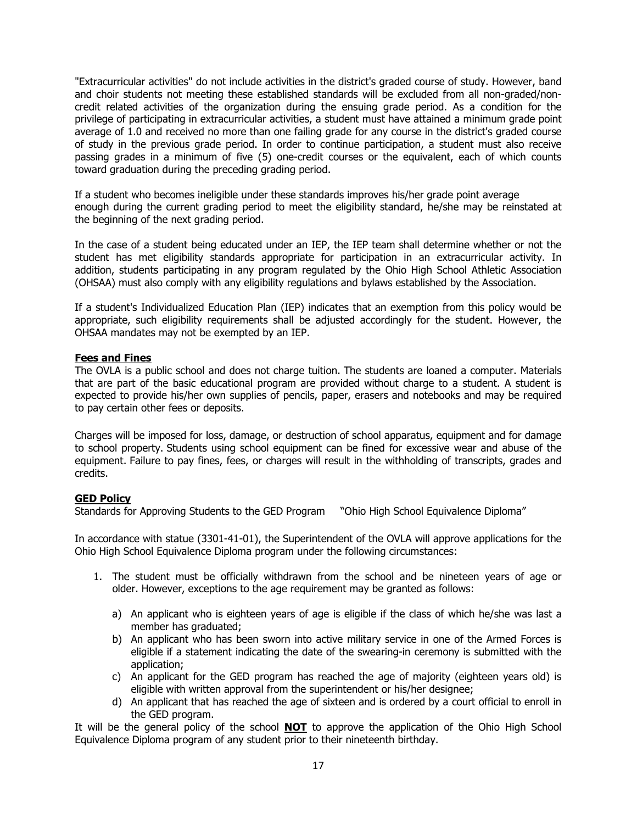"Extracurricular activities" do not include activities in the district's graded course of study. However, band and choir students not meeting these established standards will be excluded from all non-graded/noncredit related activities of the organization during the ensuing grade period. As a condition for the privilege of participating in extracurricular activities, a student must have attained a minimum grade point average of 1.0 and received no more than one failing grade for any course in the district's graded course of study in the previous grade period. In order to continue participation, a student must also receive passing grades in a minimum of five (5) one-credit courses or the equivalent, each of which counts toward graduation during the preceding grading period.

If a student who becomes ineligible under these standards improves his/her grade point average enough during the current grading period to meet the eligibility standard, he/she may be reinstated at the beginning of the next grading period.

In the case of a student being educated under an IEP, the IEP team shall determine whether or not the student has met eligibility standards appropriate for participation in an extracurricular activity. In addition, students participating in any program regulated by the Ohio High School Athletic Association (OHSAA) must also comply with any eligibility regulations and bylaws established by the Association.

If a student's Individualized Education Plan (IEP) indicates that an exemption from this policy would be appropriate, such eligibility requirements shall be adjusted accordingly for the student. However, the OHSAA mandates may not be exempted by an IEP.

# **Fees and Fines**

The OVLA is a public school and does not charge tuition. The students are loaned a computer. Materials that are part of the basic educational program are provided without charge to a student. A student is expected to provide his/her own supplies of pencils, paper, erasers and notebooks and may be required to pay certain other fees or deposits.

Charges will be imposed for loss, damage, or destruction of school apparatus, equipment and for damage to school property. Students using school equipment can be fined for excessive wear and abuse of the equipment. Failure to pay fines, fees, or charges will result in the withholding of transcripts, grades and credits.

# **GED Policy**

Standards for Approving Students to the GED Program "Ohio High School Equivalence Diploma"

In accordance with statue (3301-41-01), the Superintendent of the OVLA will approve applications for the Ohio High School Equivalence Diploma program under the following circumstances:

- 1. The student must be officially withdrawn from the school and be nineteen years of age or older. However, exceptions to the age requirement may be granted as follows:
	- a) An applicant who is eighteen years of age is eligible if the class of which he/she was last a member has graduated;
	- b) An applicant who has been sworn into active military service in one of the Armed Forces is eligible if a statement indicating the date of the swearing-in ceremony is submitted with the application;
	- c) An applicant for the GED program has reached the age of majority (eighteen years old) is eligible with written approval from the superintendent or his/her designee;
	- d) An applicant that has reached the age of sixteen and is ordered by a court official to enroll in the GED program.

It will be the general policy of the school **NOT** to approve the application of the Ohio High School Equivalence Diploma program of any student prior to their nineteenth birthday.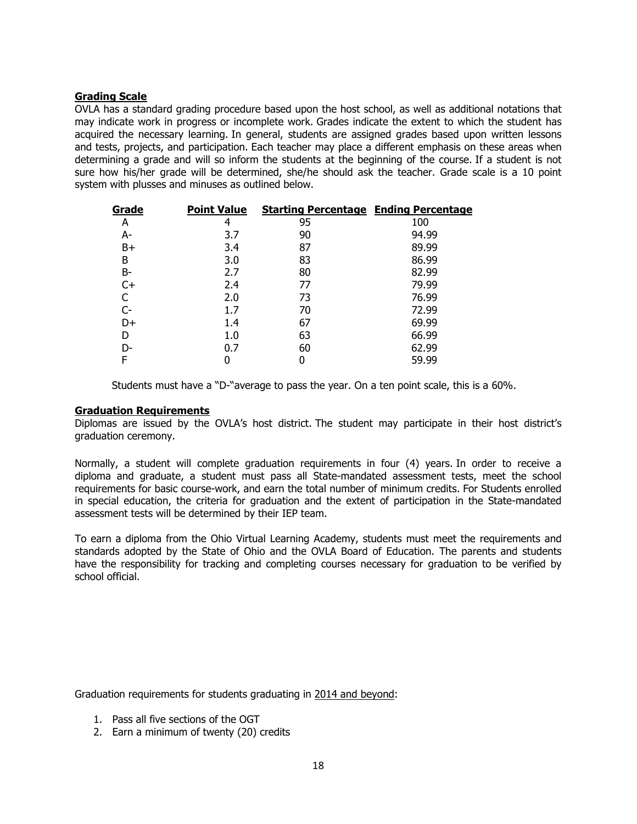# **Grading Scale**

OVLA has a standard grading procedure based upon the host school, as well as additional notations that may indicate work in progress or incomplete work. Grades indicate the extent to which the student has acquired the necessary learning. In general, students are assigned grades based upon written lessons and tests, projects, and participation. Each teacher may place a different emphasis on these areas when determining a grade and will so inform the students at the beginning of the course. If a student is not sure how his/her grade will be determined, she/he should ask the teacher. Grade scale is a 10 point system with plusses and minuses as outlined below.

| <b>Point Value</b> | <b>Starting Percentage Ending Percentage</b> |       |
|--------------------|----------------------------------------------|-------|
| 4                  | 95                                           | 100   |
| 3.7                | 90                                           | 94.99 |
| 3.4                | 87                                           | 89.99 |
| 3.0                | 83                                           | 86.99 |
| 2.7                | 80                                           | 82.99 |
| 2.4                | 77                                           | 79.99 |
| 2.0                | 73                                           | 76.99 |
| 1.7                | 70                                           | 72.99 |
| 1.4                | 67                                           | 69.99 |
| 1.0                | 63                                           | 66.99 |
| 0.7                | 60                                           | 62.99 |
| N                  | 0                                            | 59.99 |
|                    |                                              |       |

Students must have a "D-"average to pass the year. On a ten point scale, this is a 60%.

### **Graduation Requirements**

Diplomas are issued by the OVLA's host district. The student may participate in their host district's graduation ceremony.

Normally, a student will complete graduation requirements in four (4) years. In order to receive a diploma and graduate, a student must pass all State-mandated assessment tests, meet the school requirements for basic course-work, and earn the total number of minimum credits. For Students enrolled in special education, the criteria for graduation and the extent of participation in the State-mandated assessment tests will be determined by their IEP team.

To earn a diploma from the Ohio Virtual Learning Academy, students must meet the requirements and standards adopted by the State of Ohio and the OVLA Board of Education. The parents and students have the responsibility for tracking and completing courses necessary for graduation to be verified by school official.

Graduation requirements for students graduating in 2014 and beyond:

- 1. Pass all five sections of the OGT
- 2. Earn a minimum of twenty (20) credits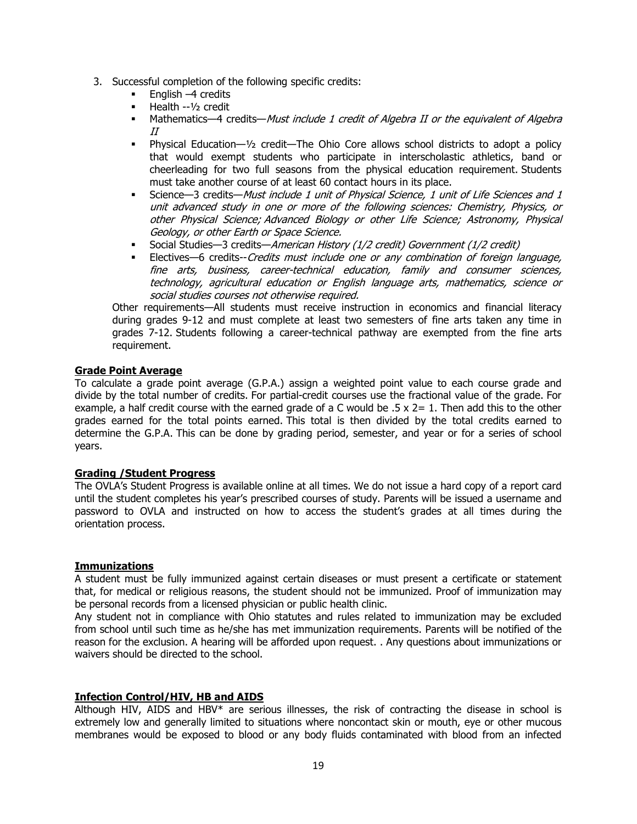- 3. Successful completion of the following specific credits:
	- $\blacksquare$  English –4 credits
	- Health --1/2 credit
	- Mathematics—4 credits—Must include 1 credit of Algebra II or the equivalent of Algebra II
	- **Physical Education—1/2 credit—The Ohio Core allows school districts to adopt a policy** that would exempt students who participate in interscholastic athletics, band or cheerleading for two full seasons from the physical education requirement. Students must take another course of at least 60 contact hours in its place.
	- Science—3 credits—Must include 1 unit of Physical Science, 1 unit of Life Sciences and 1 unit advanced study in one or more of the following sciences: Chemistry, Physics, or other Physical Science; Advanced Biology or other Life Science; Astronomy, Physical Geology, or other Earth or Space Science.
	- Social Studies—3 credits—*American History (1/2 credit) Government (1/2 credit)*<br>La Electives—6 credits--*Credits must include one or any combination of foreign la*
	- Electives—6 credits--Credits must include one or any combination of foreign language, fine arts, business, career-technical education, family and consumer sciences, technology, agricultural education or English language arts, mathematics, science or social studies courses not otherwise required.

Other requirements—All students must receive instruction in economics and financial literacy during grades 9-12 and must complete at least two semesters of fine arts taken any time in grades 7-12. Students following a career-technical pathway are exempted from the fine arts requirement.

# **Grade Point Average**

To calculate a grade point average (G.P.A.) assign a weighted point value to each course grade and divide by the total number of credits. For partial-credit courses use the fractional value of the grade. For example, a half credit course with the earned grade of a C would be  $.5 \times 2 = 1$ . Then add this to the other grades earned for the total points earned. This total is then divided by the total credits earned to determine the G.P.A. This can be done by grading period, semester, and year or for a series of school years.

#### **Grading /Student Progress**

The OVLA's Student Progress is available online at all times. We do not issue a hard copy of a report card until the student completes his year's prescribed courses of study. Parents will be issued a username and password to OVLA and instructed on how to access the student's grades at all times during the orientation process.

# **Immunizations**

A student must be fully immunized against certain diseases or must present a certificate or statement that, for medical or religious reasons, the student should not be immunized. Proof of immunization may be personal records from a licensed physician or public health clinic.

Any student not in compliance with Ohio statutes and rules related to immunization may be excluded from school until such time as he/she has met immunization requirements. Parents will be notified of the reason for the exclusion. A hearing will be afforded upon request. . Any questions about immunizations or waivers should be directed to the school.

#### **Infection Control/HIV, HB and AIDS**

Although HIV, AIDS and HBV\* are serious illnesses, the risk of contracting the disease in school is extremely low and generally limited to situations where noncontact skin or mouth, eye or other mucous membranes would be exposed to blood or any body fluids contaminated with blood from an infected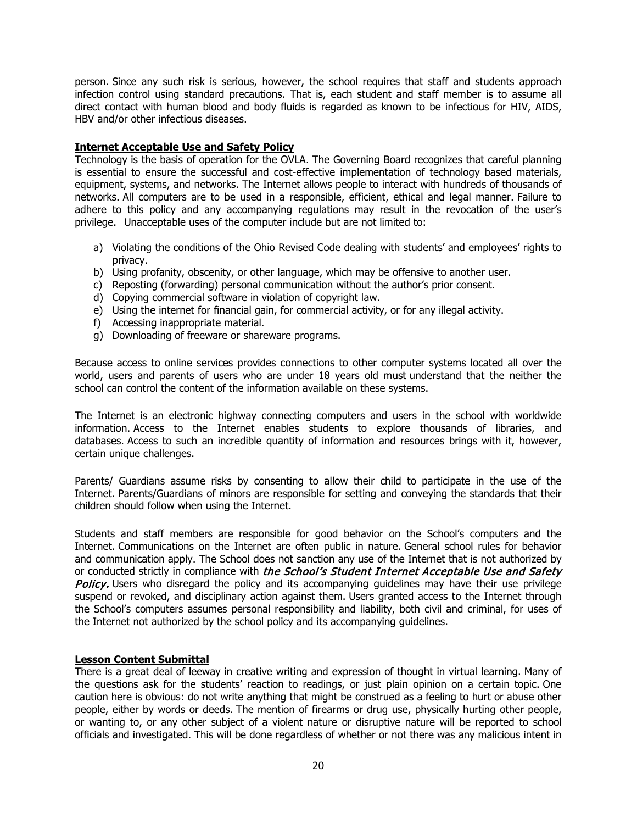person. Since any such risk is serious, however, the school requires that staff and students approach infection control using standard precautions. That is, each student and staff member is to assume all direct contact with human blood and body fluids is regarded as known to be infectious for HIV, AIDS, HBV and/or other infectious diseases.

# **Internet Acceptable Use and Safety Policy**

Technology is the basis of operation for the OVLA. The Governing Board recognizes that careful planning is essential to ensure the successful and cost-effective implementation of technology based materials, equipment, systems, and networks. The Internet allows people to interact with hundreds of thousands of networks. All computers are to be used in a responsible, efficient, ethical and legal manner. Failure to adhere to this policy and any accompanying regulations may result in the revocation of the user's privilege. Unacceptable uses of the computer include but are not limited to:

- a) Violating the conditions of the Ohio Revised Code dealing with students' and employees' rights to privacy.
- b) Using profanity, obscenity, or other language, which may be offensive to another user.
- c) Reposting (forwarding) personal communication without the author's prior consent.
- d) Copying commercial software in violation of copyright law.
- e) Using the internet for financial gain, for commercial activity, or for any illegal activity.
- f) Accessing inappropriate material.
- g) Downloading of freeware or shareware programs.

Because access to online services provides connections to other computer systems located all over the world, users and parents of users who are under 18 years old must understand that the neither the school can control the content of the information available on these systems.

The Internet is an electronic highway connecting computers and users in the school with worldwide information. Access to the Internet enables students to explore thousands of libraries, and databases. Access to such an incredible quantity of information and resources brings with it, however, certain unique challenges.

Parents/ Guardians assume risks by consenting to allow their child to participate in the use of the Internet. Parents/Guardians of minors are responsible for setting and conveying the standards that their children should follow when using the Internet.

Students and staff members are responsible for good behavior on the School's computers and the Internet. Communications on the Internet are often public in nature. General school rules for behavior and communication apply. The School does not sanction any use of the Internet that is not authorized by or conducted strictly in compliance with the School's Student Internet Acceptable Use and Safety Policy. Users who disregard the policy and its accompanying guidelines may have their use privilege suspend or revoked, and disciplinary action against them. Users granted access to the Internet through the School's computers assumes personal responsibility and liability, both civil and criminal, for uses of the Internet not authorized by the school policy and its accompanying guidelines.

# **Lesson Content Submittal**

There is a great deal of leeway in creative writing and expression of thought in virtual learning. Many of the questions ask for the students' reaction to readings, or just plain opinion on a certain topic. One caution here is obvious: do not write anything that might be construed as a feeling to hurt or abuse other people, either by words or deeds. The mention of firearms or drug use, physically hurting other people, or wanting to, or any other subject of a violent nature or disruptive nature will be reported to school officials and investigated. This will be done regardless of whether or not there was any malicious intent in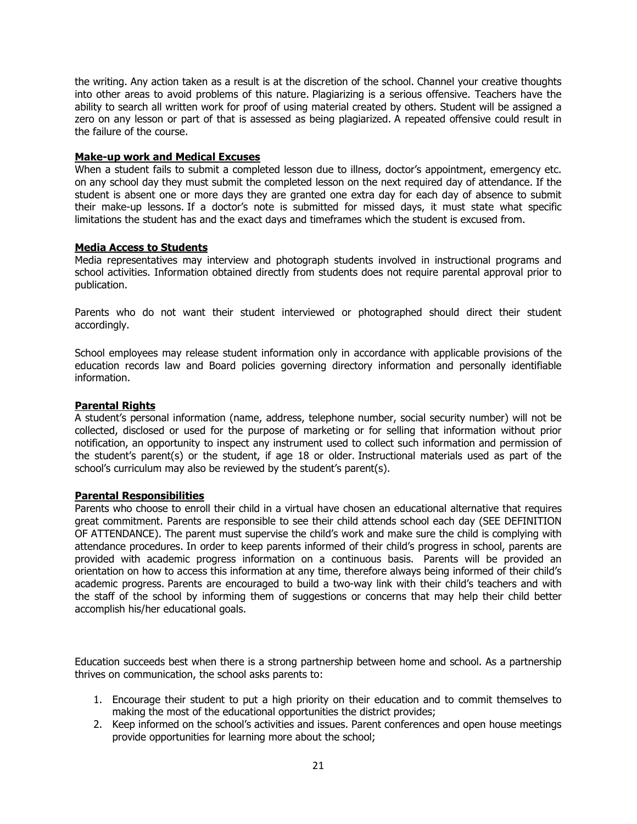the writing. Any action taken as a result is at the discretion of the school. Channel your creative thoughts into other areas to avoid problems of this nature. Plagiarizing is a serious offensive. Teachers have the ability to search all written work for proof of using material created by others. Student will be assigned a zero on any lesson or part of that is assessed as being plagiarized. A repeated offensive could result in the failure of the course.

# **Make-up work and Medical Excuses**

When a student fails to submit a completed lesson due to illness, doctor's appointment, emergency etc. on any school day they must submit the completed lesson on the next required day of attendance. If the student is absent one or more days they are granted one extra day for each day of absence to submit their make-up lessons. If a doctor's note is submitted for missed days, it must state what specific limitations the student has and the exact days and timeframes which the student is excused from.

### **Media Access to Students**

Media representatives may interview and photograph students involved in instructional programs and school activities. Information obtained directly from students does not require parental approval prior to publication.

Parents who do not want their student interviewed or photographed should direct their student accordingly.

School employees may release student information only in accordance with applicable provisions of the education records law and Board policies governing directory information and personally identifiable information.

# **Parental Rights**

A student's personal information (name, address, telephone number, social security number) will not be collected, disclosed or used for the purpose of marketing or for selling that information without prior notification, an opportunity to inspect any instrument used to collect such information and permission of the student's parent(s) or the student, if age 18 or older. Instructional materials used as part of the school's curriculum may also be reviewed by the student's parent(s).

#### **Parental Responsibilities**

Parents who choose to enroll their child in a virtual have chosen an educational alternative that requires great commitment. Parents are responsible to see their child attends school each day (SEE DEFINITION OF ATTENDANCE). The parent must supervise the child's work and make sure the child is complying with attendance procedures. In order to keep parents informed of their child's progress in school, parents are provided with academic progress information on a continuous basis. Parents will be provided an orientation on how to access this information at any time, therefore always being informed of their child's academic progress. Parents are encouraged to build a two-way link with their child's teachers and with the staff of the school by informing them of suggestions or concerns that may help their child better accomplish his/her educational goals.

Education succeeds best when there is a strong partnership between home and school. As a partnership thrives on communication, the school asks parents to:

- 1. Encourage their student to put a high priority on their education and to commit themselves to making the most of the educational opportunities the district provides;
- 2. Keep informed on the school's activities and issues. Parent conferences and open house meetings provide opportunities for learning more about the school;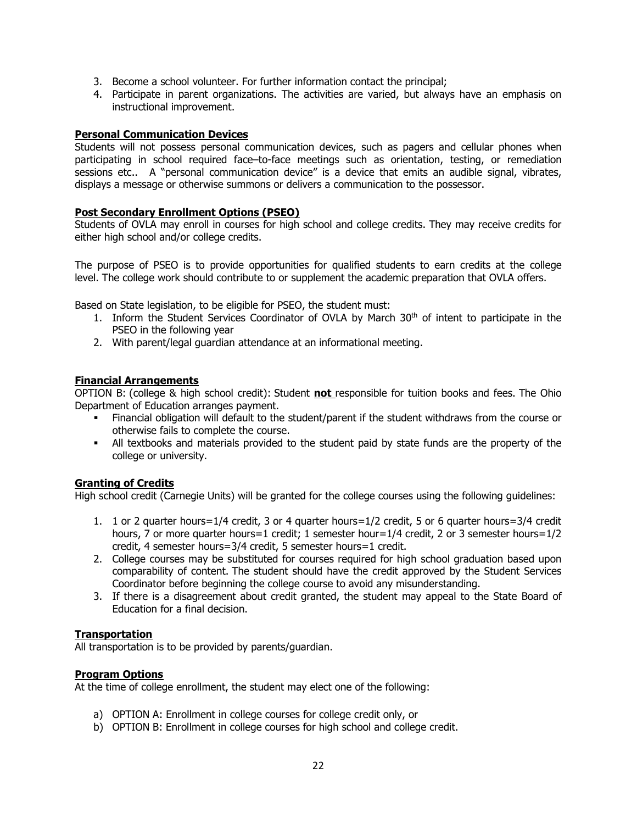- 3. Become a school volunteer. For further information contact the principal;
- 4. Participate in parent organizations. The activities are varied, but always have an emphasis on instructional improvement.

### **Personal Communication Devices**

Students will not possess personal communication devices, such as pagers and cellular phones when participating in school required face–to-face meetings such as orientation, testing, or remediation sessions etc.. A "personal communication device" is a device that emits an audible signal, vibrates, displays a message or otherwise summons or delivers a communication to the possessor.

### **Post Secondary Enrollment Options (PSEO)**

Students of OVLA may enroll in courses for high school and college credits. They may receive credits for either high school and/or college credits.

The purpose of PSEO is to provide opportunities for qualified students to earn credits at the college level. The college work should contribute to or supplement the academic preparation that OVLA offers.

Based on State legislation, to be eligible for PSEO, the student must:

- 1. Inform the Student Services Coordinator of OVLA by March  $30<sup>th</sup>$  of intent to participate in the PSEO in the following year
- 2. With parent/legal guardian attendance at an informational meeting.

### **Financial Arrangements**

OPTION B: (college & high school credit): Student **not** responsible for tuition books and fees. The Ohio Department of Education arranges payment.

- Financial obligation will default to the student/parent if the student withdraws from the course or otherwise fails to complete the course.
- All textbooks and materials provided to the student paid by state funds are the property of the college or university.

#### **Granting of Credits**

High school credit (Carnegie Units) will be granted for the college courses using the following guidelines:

- 1. 1 or 2 quarter hours=1/4 credit, 3 or 4 quarter hours=1/2 credit, 5 or 6 quarter hours=3/4 credit hours, 7 or more quarter hours=1 credit; 1 semester hour=1/4 credit, 2 or 3 semester hours=1/2 credit, 4 semester hours=3/4 credit, 5 semester hours=1 credit.
- 2. College courses may be substituted for courses required for high school graduation based upon comparability of content. The student should have the credit approved by the Student Services Coordinator before beginning the college course to avoid any misunderstanding.
- 3. If there is a disagreement about credit granted, the student may appeal to the State Board of Education for a final decision.

#### **Transportation**

All transportation is to be provided by parents/guardian.

#### **Program Options**

At the time of college enrollment, the student may elect one of the following:

- a) OPTION A: Enrollment in college courses for college credit only, or
- b) OPTION B: Enrollment in college courses for high school and college credit.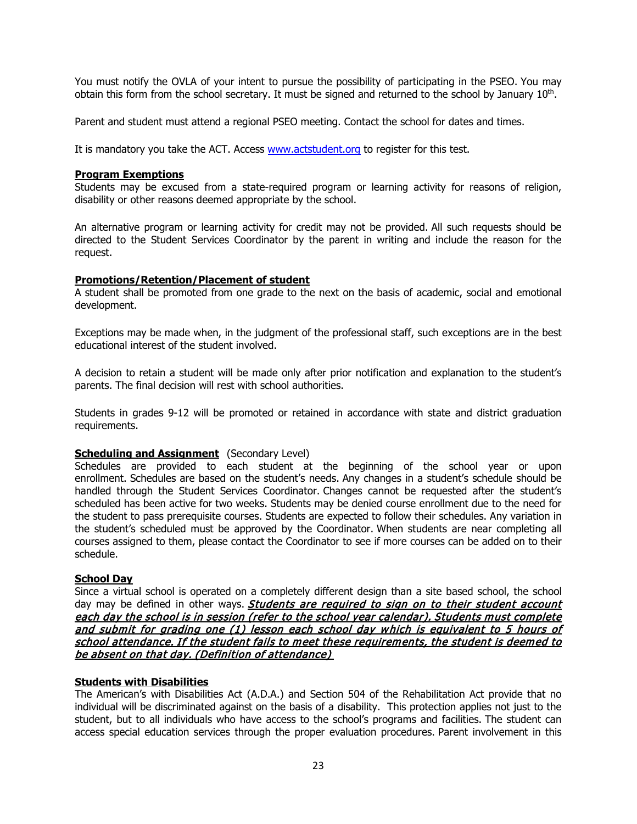You must notify the OVLA of your intent to pursue the possibility of participating in the PSEO. You may obtain this form from the school secretary. It must be signed and returned to the school by January  $10<sup>th</sup>$ .

Parent and student must attend a regional PSEO meeting. Contact the school for dates and times.

It is mandatory you take the ACT. Access [www.actstudent.org](http://www.actstudent.org/) to register for this test.

### **Program Exemptions**

Students may be excused from a state-required program or learning activity for reasons of religion, disability or other reasons deemed appropriate by the school.

An alternative program or learning activity for credit may not be provided. All such requests should be directed to the Student Services Coordinator by the parent in writing and include the reason for the request.

### **Promotions/Retention/Placement of student**

A student shall be promoted from one grade to the next on the basis of academic, social and emotional development.

Exceptions may be made when, in the judgment of the professional staff, such exceptions are in the best educational interest of the student involved.

A decision to retain a student will be made only after prior notification and explanation to the student's parents. The final decision will rest with school authorities.

Students in grades 9-12 will be promoted or retained in accordance with state and district graduation requirements.

#### **Scheduling and Assignment** (Secondary Level)

Schedules are provided to each student at the beginning of the school year or upon enrollment. Schedules are based on the student's needs. Any changes in a student's schedule should be handled through the Student Services Coordinator. Changes cannot be requested after the student's scheduled has been active for two weeks. Students may be denied course enrollment due to the need for the student to pass prerequisite courses. Students are expected to follow their schedules. Any variation in the student's scheduled must be approved by the Coordinator. When students are near completing all courses assigned to them, please contact the Coordinator to see if more courses can be added on to their schedule.

#### **School Day**

Since a virtual school is operated on a completely different design than a site based school, the school day may be defined in other ways. **Students are required to sign on to their student account** each day the school is in session (refer to the school year calendar). Students must complete and submit for grading one (1) lesson each school day which is equivalent to 5 hours of school attendance. If the student fails to meet these requirements, the student is deemed to be absent on that day. (Definition of attendance)

# **Students with Disabilities**

The American's with Disabilities Act (A.D.A.) and Section 504 of the Rehabilitation Act provide that no individual will be discriminated against on the basis of a disability. This protection applies not just to the student, but to all individuals who have access to the school's programs and facilities. The student can access special education services through the proper evaluation procedures. Parent involvement in this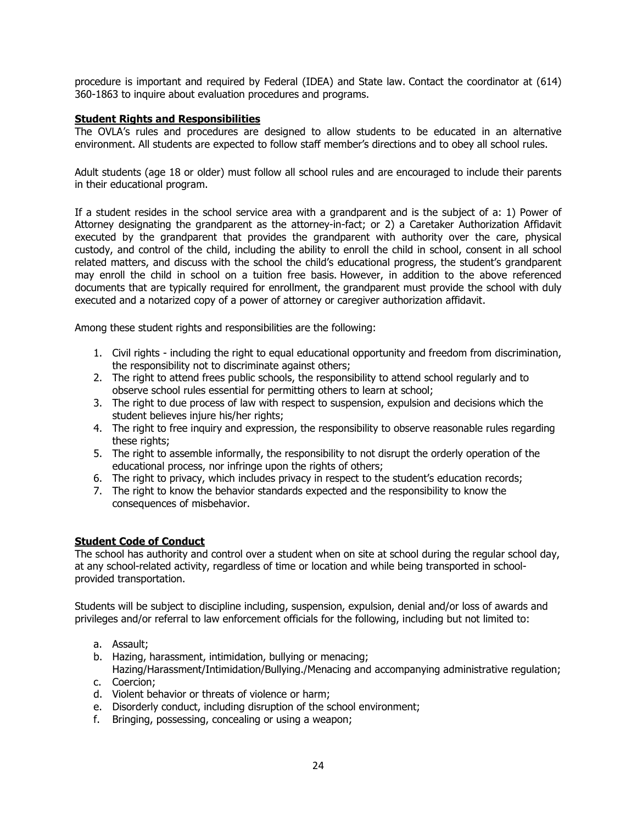procedure is important and required by Federal (IDEA) and State law. Contact the coordinator at (614) 360-1863 to inquire about evaluation procedures and programs.

# **Student Rights and Responsibilities**

The OVLA's rules and procedures are designed to allow students to be educated in an alternative environment. All students are expected to follow staff member's directions and to obey all school rules.

Adult students (age 18 or older) must follow all school rules and are encouraged to include their parents in their educational program.

If a student resides in the school service area with a grandparent and is the subject of a: 1) Power of Attorney designating the grandparent as the attorney-in-fact; or 2) a Caretaker Authorization Affidavit executed by the grandparent that provides the grandparent with authority over the care, physical custody, and control of the child, including the ability to enroll the child in school, consent in all school related matters, and discuss with the school the child's educational progress, the student's grandparent may enroll the child in school on a tuition free basis. However, in addition to the above referenced documents that are typically required for enrollment, the grandparent must provide the school with duly executed and a notarized copy of a power of attorney or caregiver authorization affidavit.

Among these student rights and responsibilities are the following:

- 1. Civil rights including the right to equal educational opportunity and freedom from discrimination, the responsibility not to discriminate against others;
- 2. The right to attend frees public schools, the responsibility to attend school regularly and to observe school rules essential for permitting others to learn at school;
- 3. The right to due process of law with respect to suspension, expulsion and decisions which the student believes injure his/her rights;
- 4. The right to free inquiry and expression, the responsibility to observe reasonable rules regarding these rights;
- 5. The right to assemble informally, the responsibility to not disrupt the orderly operation of the educational process, nor infringe upon the rights of others;
- 6. The right to privacy, which includes privacy in respect to the student's education records;
- 7. The right to know the behavior standards expected and the responsibility to know the consequences of misbehavior.

# **Student Code of Conduct**

The school has authority and control over a student when on site at school during the regular school day, at any school-related activity, regardless of time or location and while being transported in schoolprovided transportation.

Students will be subject to discipline including, suspension, expulsion, denial and/or loss of awards and privileges and/or referral to law enforcement officials for the following, including but not limited to:

- a. Assault;
- b. Hazing, harassment, intimidation, bullying or menacing;
- Hazing/Harassment/Intimidation/Bullying./Menacing and accompanying administrative regulation; c. Coercion;
- d. Violent behavior or threats of violence or harm;
- e. Disorderly conduct, including disruption of the school environment;
- f. Bringing, possessing, concealing or using a weapon;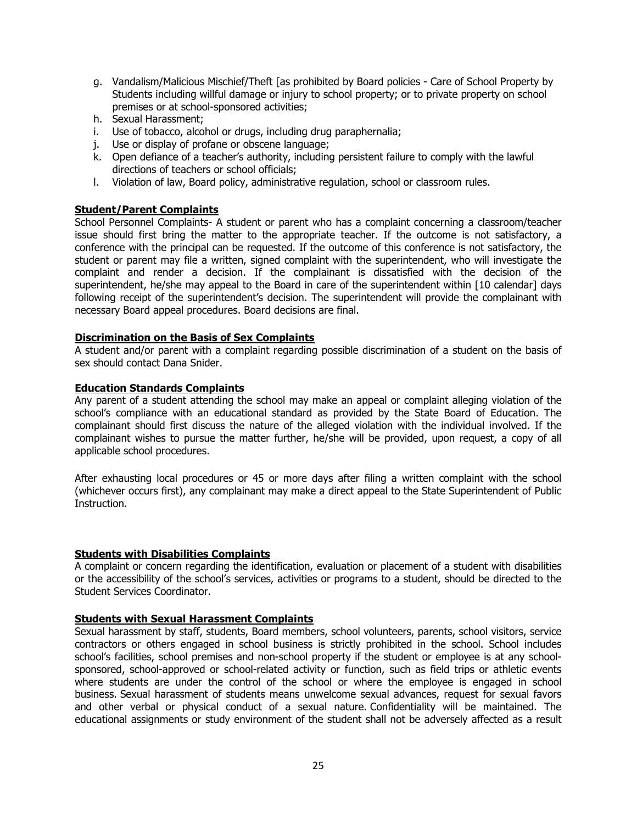- g. Vandalism/Malicious Mischief/Theft [as prohibited by Board policies Care of School Property by Students including willful damage or injury to school property; or to private property on school premises or at school-sponsored activities;
- h. Sexual Harassment;
- i. Use of tobacco, alcohol or drugs, including drug paraphernalia;
- j. Use or display of profane or obscene language;
- k. Open defiance of a teacher's authority, including persistent failure to comply with the lawful directions of teachers or school officials;
- l. Violation of law, Board policy, administrative regulation, school or classroom rules.

### **Student/Parent Complaints**

School Personnel Complaints- A student or parent who has a complaint concerning a classroom/teacher issue should first bring the matter to the appropriate teacher. If the outcome is not satisfactory, a conference with the principal can be requested. If the outcome of this conference is not satisfactory, the student or parent may file a written, signed complaint with the superintendent, who will investigate the complaint and render a decision. If the complainant is dissatisfied with the decision of the superintendent, he/she may appeal to the Board in care of the superintendent within [10 calendar] days following receipt of the superintendent's decision. The superintendent will provide the complainant with necessary Board appeal procedures. Board decisions are final.

#### **Discrimination on the Basis of Sex Complaints**

A student and/or parent with a complaint regarding possible discrimination of a student on the basis of sex should contact Dana Snider.

#### **Education Standards Complaints**

Any parent of a student attending the school may make an appeal or complaint alleging violation of the school's compliance with an educational standard as provided by the State Board of Education. The complainant should first discuss the nature of the alleged violation with the individual involved. If the complainant wishes to pursue the matter further, he/she will be provided, upon request, a copy of all applicable school procedures.

After exhausting local procedures or 45 or more days after filing a written complaint with the school (whichever occurs first), any complainant may make a direct appeal to the State Superintendent of Public Instruction.

#### **Students with Disabilities Complaints**

A complaint or concern regarding the identification, evaluation or placement of a student with disabilities or the accessibility of the school's services, activities or programs to a student, should be directed to the Student Services Coordinator.

#### **Students with Sexual Harassment Complaints**

Sexual harassment by staff, students, Board members, school volunteers, parents, school visitors, service contractors or others engaged in school business is strictly prohibited in the school. School includes school's facilities, school premises and non-school property if the student or employee is at any schoolsponsored, school-approved or school-related activity or function, such as field trips or athletic events where students are under the control of the school or where the employee is engaged in school business. Sexual harassment of students means unwelcome sexual advances, request for sexual favors and other verbal or physical conduct of a sexual nature. Confidentiality will be maintained. The educational assignments or study environment of the student shall not be adversely affected as a result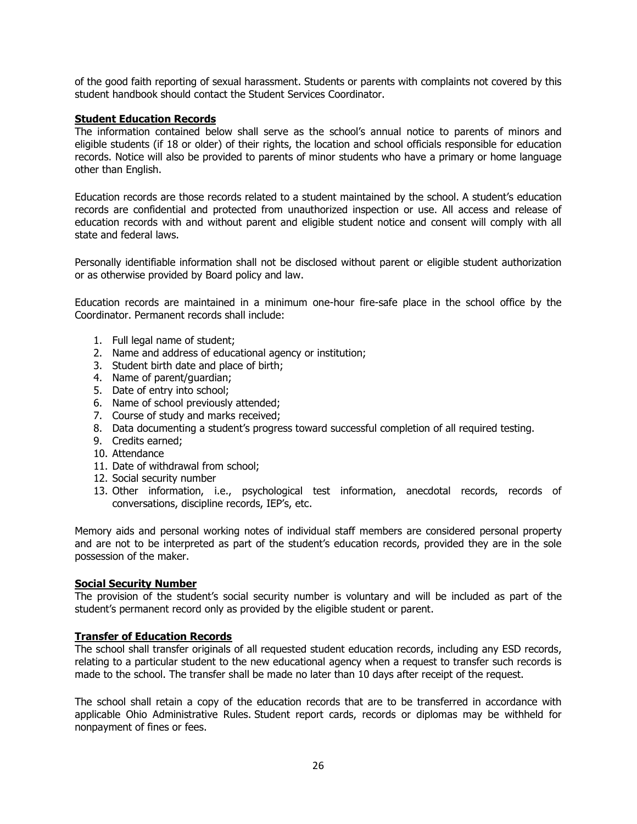of the good faith reporting of sexual harassment. Students or parents with complaints not covered by this student handbook should contact the Student Services Coordinator.

# **Student Education Records**

The information contained below shall serve as the school's annual notice to parents of minors and eligible students (if 18 or older) of their rights, the location and school officials responsible for education records. Notice will also be provided to parents of minor students who have a primary or home language other than English.

Education records are those records related to a student maintained by the school. A student's education records are confidential and protected from unauthorized inspection or use. All access and release of education records with and without parent and eligible student notice and consent will comply with all state and federal laws.

Personally identifiable information shall not be disclosed without parent or eligible student authorization or as otherwise provided by Board policy and law.

Education records are maintained in a minimum one-hour fire-safe place in the school office by the Coordinator. Permanent records shall include:

- 1. Full legal name of student;
- 2. Name and address of educational agency or institution;
- 3. Student birth date and place of birth;
- 4. Name of parent/guardian;
- 5. Date of entry into school;
- 6. Name of school previously attended;
- 7. Course of study and marks received;
- 8. Data documenting a student's progress toward successful completion of all required testing.
- 9. Credits earned;
- 10. Attendance
- 11. Date of withdrawal from school;
- 12. Social security number
- 13. Other information, i.e., psychological test information, anecdotal records, records of conversations, discipline records, IEP's, etc.

Memory aids and personal working notes of individual staff members are considered personal property and are not to be interpreted as part of the student's education records, provided they are in the sole possession of the maker.

### **Social Security Number**

The provision of the student's social security number is voluntary and will be included as part of the student's permanent record only as provided by the eligible student or parent.

#### **Transfer of Education Records**

The school shall transfer originals of all requested student education records, including any ESD records, relating to a particular student to the new educational agency when a request to transfer such records is made to the school. The transfer shall be made no later than 10 days after receipt of the request.

The school shall retain a copy of the education records that are to be transferred in accordance with applicable Ohio Administrative Rules. Student report cards, records or diplomas may be withheld for nonpayment of fines or fees.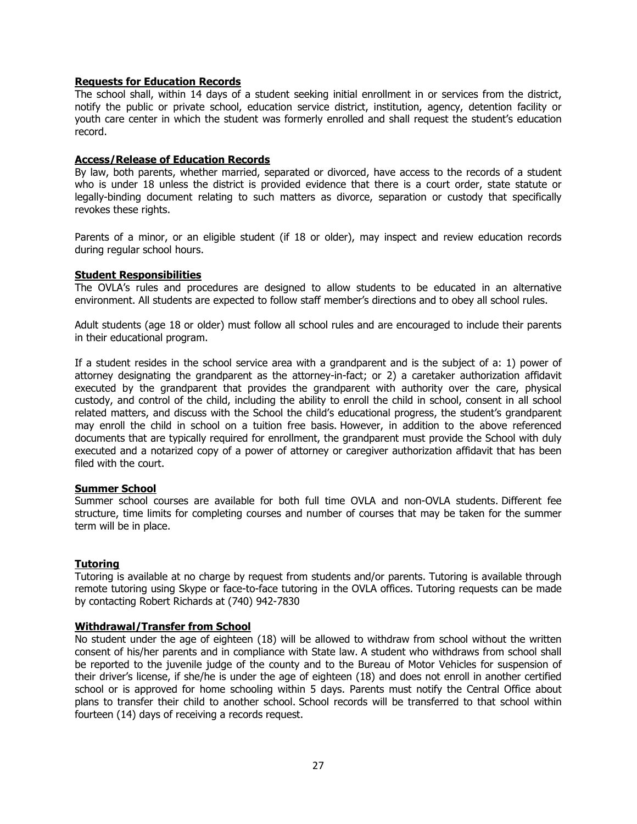#### **Requests for Education Records**

The school shall, within 14 days of a student seeking initial enrollment in or services from the district, notify the public or private school, education service district, institution, agency, detention facility or youth care center in which the student was formerly enrolled and shall request the student's education record.

#### **Access/Release of Education Records**

By law, both parents, whether married, separated or divorced, have access to the records of a student who is under 18 unless the district is provided evidence that there is a court order, state statute or legally-binding document relating to such matters as divorce, separation or custody that specifically revokes these rights.

Parents of a minor, or an eligible student (if 18 or older), may inspect and review education records during regular school hours.

### **Student Responsibilities**

The OVLA's rules and procedures are designed to allow students to be educated in an alternative environment. All students are expected to follow staff member's directions and to obey all school rules.

Adult students (age 18 or older) must follow all school rules and are encouraged to include their parents in their educational program.

If a student resides in the school service area with a grandparent and is the subject of a: 1) power of attorney designating the grandparent as the attorney-in-fact; or 2) a caretaker authorization affidavit executed by the grandparent that provides the grandparent with authority over the care, physical custody, and control of the child, including the ability to enroll the child in school, consent in all school related matters, and discuss with the School the child's educational progress, the student's grandparent may enroll the child in school on a tuition free basis. However, in addition to the above referenced documents that are typically required for enrollment, the grandparent must provide the School with duly executed and a notarized copy of a power of attorney or caregiver authorization affidavit that has been filed with the court.

#### **Summer School**

Summer school courses are available for both full time OVLA and non-OVLA students. Different fee structure, time limits for completing courses and number of courses that may be taken for the summer term will be in place.

# **Tutoring**

Tutoring is available at no charge by request from students and/or parents. Tutoring is available through remote tutoring using Skype or face-to-face tutoring in the OVLA offices. Tutoring requests can be made by contacting Robert Richards at (740) 942-7830

#### **Withdrawal/Transfer from School**

No student under the age of eighteen (18) will be allowed to withdraw from school without the written consent of his/her parents and in compliance with State law. A student who withdraws from school shall be reported to the juvenile judge of the county and to the Bureau of Motor Vehicles for suspension of their driver's license, if she/he is under the age of eighteen (18) and does not enroll in another certified school or is approved for home schooling within 5 days. Parents must notify the Central Office about plans to transfer their child to another school. School records will be transferred to that school within fourteen (14) days of receiving a records request.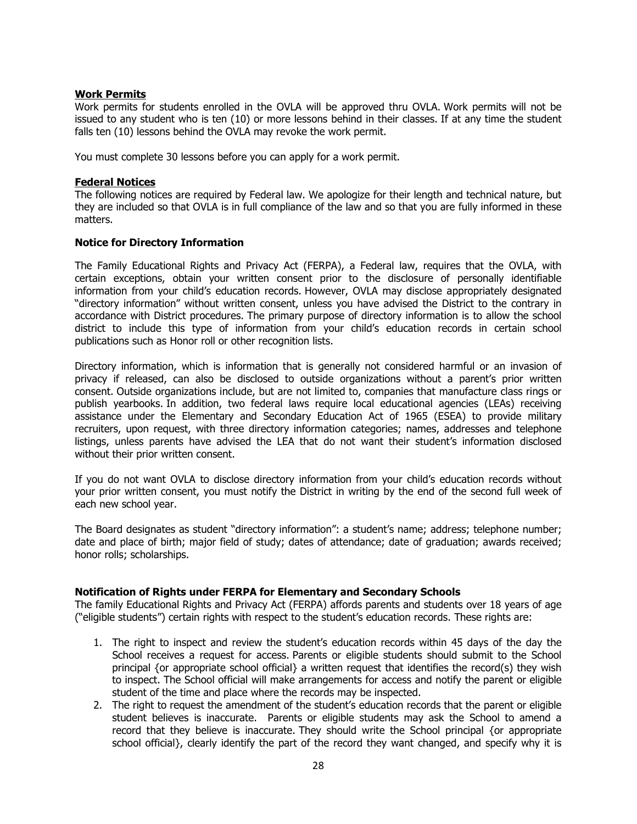# **Work Permits**

Work permits for students enrolled in the OVLA will be approved thru OVLA. Work permits will not be issued to any student who is ten (10) or more lessons behind in their classes. If at any time the student falls ten (10) lessons behind the OVLA may revoke the work permit.

You must complete 30 lessons before you can apply for a work permit.

### **Federal Notices**

The following notices are required by Federal law. We apologize for their length and technical nature, but they are included so that OVLA is in full compliance of the law and so that you are fully informed in these matters.

### **Notice for Directory Information**

The Family Educational Rights and Privacy Act (FERPA), a Federal law, requires that the OVLA, with certain exceptions, obtain your written consent prior to the disclosure of personally identifiable information from your child's education records. However, OVLA may disclose appropriately designated "directory information" without written consent, unless you have advised the District to the contrary in accordance with District procedures. The primary purpose of directory information is to allow the school district to include this type of information from your child's education records in certain school publications such as Honor roll or other recognition lists.

Directory information, which is information that is generally not considered harmful or an invasion of privacy if released, can also be disclosed to outside organizations without a parent's prior written consent. Outside organizations include, but are not limited to, companies that manufacture class rings or publish yearbooks. In addition, two federal laws require local educational agencies (LEAs) receiving assistance under the Elementary and Secondary Education Act of 1965 (ESEA) to provide military recruiters, upon request, with three directory information categories; names, addresses and telephone listings, unless parents have advised the LEA that do not want their student's information disclosed without their prior written consent.

If you do not want OVLA to disclose directory information from your child's education records without your prior written consent, you must notify the District in writing by the end of the second full week of each new school year.

The Board designates as student "directory information": a student's name; address; telephone number; date and place of birth; major field of study; dates of attendance; date of graduation; awards received; honor rolls; scholarships.

# **Notification of Rights under FERPA for Elementary and Secondary Schools**

The family Educational Rights and Privacy Act (FERPA) affords parents and students over 18 years of age ("eligible students") certain rights with respect to the student's education records. These rights are:

- 1. The right to inspect and review the student's education records within 45 days of the day the School receives a request for access. Parents or eligible students should submit to the School principal {or appropriate school official} a written request that identifies the record(s) they wish to inspect. The School official will make arrangements for access and notify the parent or eligible student of the time and place where the records may be inspected.
- 2. The right to request the amendment of the student's education records that the parent or eligible student believes is inaccurate. Parents or eligible students may ask the School to amend a record that they believe is inaccurate. They should write the School principal {or appropriate school official}, clearly identify the part of the record they want changed, and specify why it is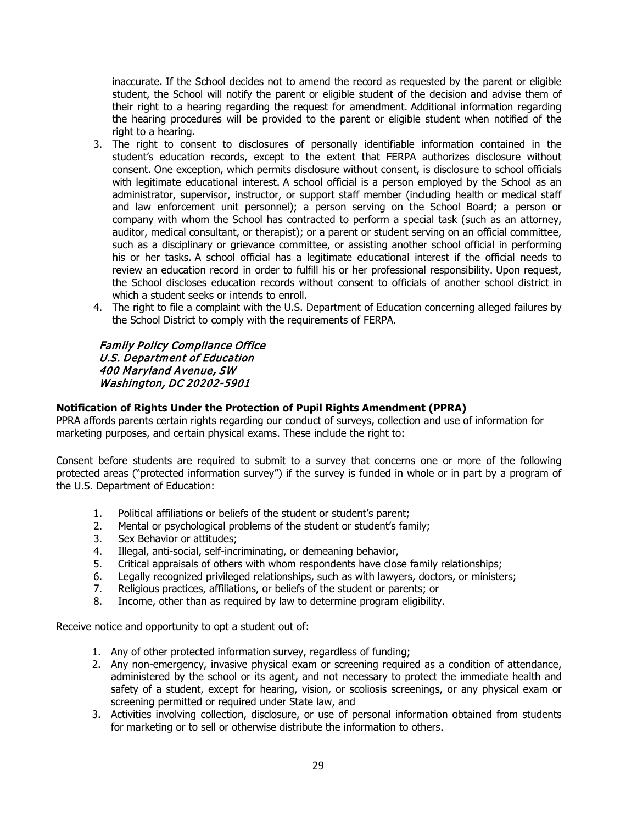inaccurate. If the School decides not to amend the record as requested by the parent or eligible student, the School will notify the parent or eligible student of the decision and advise them of their right to a hearing regarding the request for amendment. Additional information regarding the hearing procedures will be provided to the parent or eligible student when notified of the right to a hearing.

- 3. The right to consent to disclosures of personally identifiable information contained in the student's education records, except to the extent that FERPA authorizes disclosure without consent. One exception, which permits disclosure without consent, is disclosure to school officials with legitimate educational interest. A school official is a person employed by the School as an administrator, supervisor, instructor, or support staff member (including health or medical staff and law enforcement unit personnel); a person serving on the School Board; a person or company with whom the School has contracted to perform a special task (such as an attorney, auditor, medical consultant, or therapist); or a parent or student serving on an official committee, such as a disciplinary or grievance committee, or assisting another school official in performing his or her tasks. A school official has a legitimate educational interest if the official needs to review an education record in order to fulfill his or her professional responsibility. Upon request, the School discloses education records without consent to officials of another school district in which a student seeks or intends to enroll.
- 4. The right to file a complaint with the U.S. Department of Education concerning alleged failures by the School District to comply with the requirements of FERPA.

# Family Policy Compliance Office U.S. Department of Education 400 Maryland Avenue, SW Washington, DC 20202-5901

# **Notification of Rights Under the Protection of Pupil Rights Amendment (PPRA)**

PPRA affords parents certain rights regarding our conduct of surveys, collection and use of information for marketing purposes, and certain physical exams. These include the right to:

Consent before students are required to submit to a survey that concerns one or more of the following protected areas ("protected information survey") if the survey is funded in whole or in part by a program of the U.S. Department of Education:

- 1. Political affiliations or beliefs of the student or student's parent;
- 2. Mental or psychological problems of the student or student's family;
- 3. Sex Behavior or attitudes;<br>4. Illegal, anti-social, self-incr
- 4. Illegal, anti-social, self-incriminating, or demeaning behavior,<br>5. Critical appraisals of others with whom respondents have clos
- 5. Critical appraisals of others with whom respondents have close family relationships;
- 6. Legally recognized privileged relationships, such as with lawyers, doctors, or ministers;<br>7. Religious practices, affiliations, or beliefs of the student or parents; or
- Religious practices, affiliations, or beliefs of the student or parents; or
- 8. Income, other than as required by law to determine program eligibility.

Receive notice and opportunity to opt a student out of:

- 1. Any of other protected information survey, regardless of funding;
- 2. Any non-emergency, invasive physical exam or screening required as a condition of attendance, administered by the school or its agent, and not necessary to protect the immediate health and safety of a student, except for hearing, vision, or scoliosis screenings, or any physical exam or screening permitted or required under State law, and
- 3. Activities involving collection, disclosure, or use of personal information obtained from students for marketing or to sell or otherwise distribute the information to others.